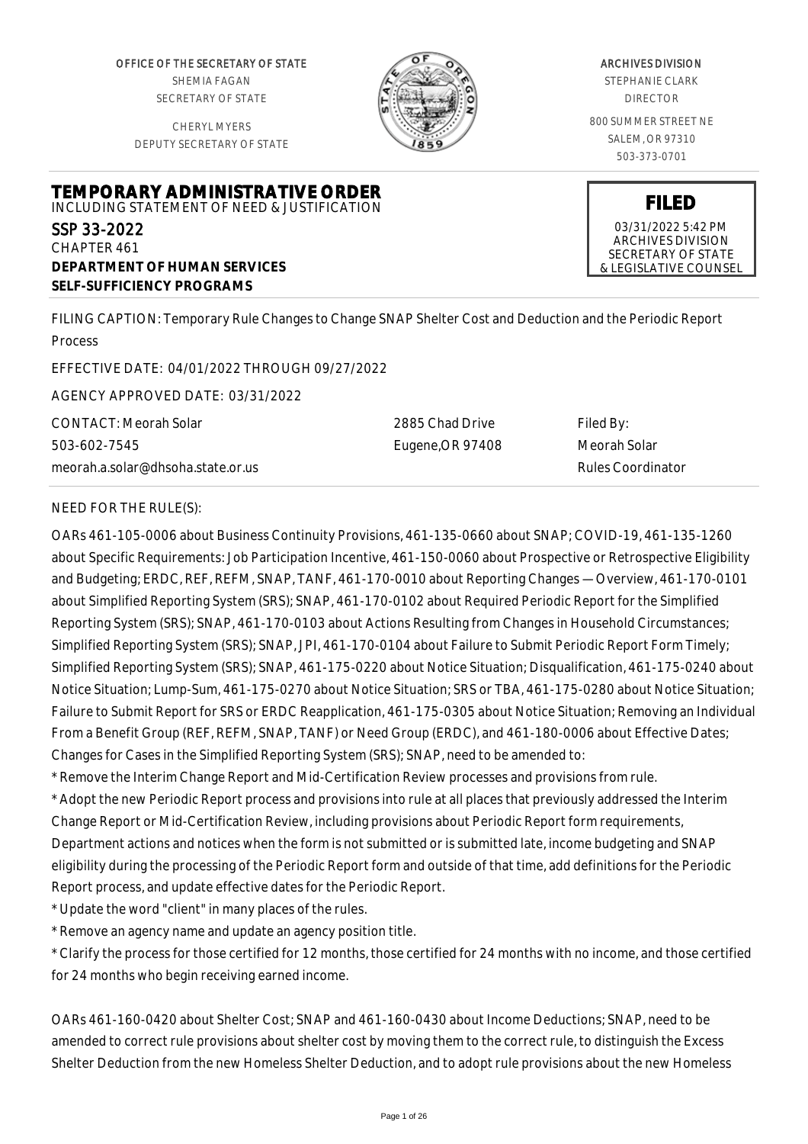OFFICE OF THE SECRETARY OF STATE SHEMIA FAGAN SECRETARY OF STATE

CHERYL MYERS DEPUTY SECRETARY OF STATE

**TEMPORARY ADMINISTRATIVE ORDER** INCLUDING STATEMENT OF NEED & JUSTIFICATION



### ARCHIVES DIVISION

STEPHANIE CLARK DIRECTOR

800 SUMMER STREET NE SALEM, OR 97310 503-373-0701

> **FILED** 03/31/2022 5:42 PM ARCHIVES DIVISION

SECRETARY OF STATE & LEGISLATIVE COUNSEL

CHAPTER 461 **DEPARTMENT OF HUMAN SERVICES SELF-SUFFICIENCY PROGRAMS**

FILING CAPTION: Temporary Rule Changes to Change SNAP Shelter Cost and Deduction and the Periodic Report Process

EFFECTIVE DATE: 04/01/2022 THROUGH 09/27/2022

AGENCY APPROVED DATE: 03/31/2022

CONTACT: Meorah Solar 503-602-7545 meorah.a.solar@dhsoha.state.or.us 2885 Chad Drive Eugene,OR 97408

Filed By: Meorah Solar Rules Coordinator

## NEED FOR THE RULE(S):

SSP 33-2022

OARs 461-105-0006 about Business Continuity Provisions, 461-135-0660 about SNAP; COVID-19, 461-135-1260 about Specific Requirements: Job Participation Incentive, 461-150-0060 about Prospective or Retrospective Eligibility and Budgeting; ERDC, REF, REFM, SNAP, TANF, 461-170-0010 about Reporting Changes — Overview, 461-170-0101 about Simplified Reporting System (SRS); SNAP, 461-170-0102 about Required Periodic Report for the Simplified Reporting System (SRS); SNAP, 461-170-0103 about Actions Resulting from Changes in Household Circumstances; Simplified Reporting System (SRS); SNAP, JPI, 461-170-0104 about Failure to Submit Periodic Report Form Timely; Simplified Reporting System (SRS); SNAP, 461-175-0220 about Notice Situation; Disqualification, 461-175-0240 about Notice Situation; Lump-Sum, 461-175-0270 about Notice Situation; SRS or TBA, 461-175-0280 about Notice Situation; Failure to Submit Report for SRS or ERDC Reapplication, 461-175-0305 about Notice Situation; Removing an Individual From a Benefit Group (REF, REFM, SNAP, TANF) or Need Group (ERDC), and 461-180-0006 about Effective Dates; Changes for Cases in the Simplified Reporting System (SRS); SNAP, need to be amended to:

\* Remove the Interim Change Report and Mid-Certification Review processes and provisions from rule.

\* Adopt the new Periodic Report process and provisions into rule at all places that previously addressed the Interim Change Report or Mid-Certification Review, including provisions about Periodic Report form requirements, Department actions and notices when the form is not submitted or is submitted late, income budgeting and SNAP eligibility during the processing of the Periodic Report form and outside of that time, add definitions for the Periodic Report process, and update effective dates for the Periodic Report.

\* Update the word "client" in many places of the rules.

\* Remove an agency name and update an agency position title.

\* Clarify the process for those certified for 12 months, those certified for 24 months with no income, and those certified for 24 months who begin receiving earned income.

OARs 461-160-0420 about Shelter Cost; SNAP and 461-160-0430 about Income Deductions; SNAP, need to be amended to correct rule provisions about shelter cost by moving them to the correct rule, to distinguish the Excess Shelter Deduction from the new Homeless Shelter Deduction, and to adopt rule provisions about the new Homeless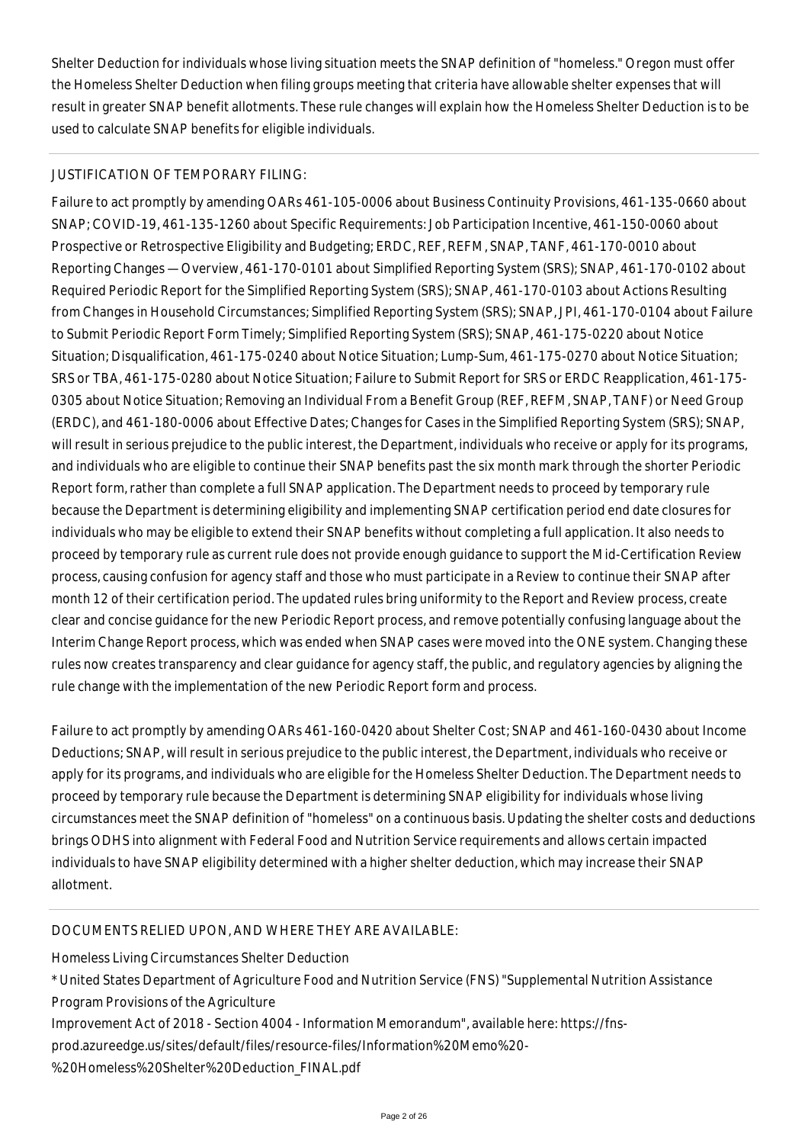Shelter Deduction for individuals whose living situation meets the SNAP definition of "homeless." Oregon must offer the Homeless Shelter Deduction when filing groups meeting that criteria have allowable shelter expenses that will result in greater SNAP benefit allotments. These rule changes will explain how the Homeless Shelter Deduction is to be used to calculate SNAP benefits for eligible individuals.

# JUSTIFICATION OF TEMPORARY FILING:

Failure to act promptly by amending OARs 461-105-0006 about Business Continuity Provisions, 461-135-0660 about SNAP; COVID-19, 461-135-1260 about Specific Requirements: Job Participation Incentive, 461-150-0060 about Prospective or Retrospective Eligibility and Budgeting; ERDC, REF, REFM, SNAP, TANF, 461-170-0010 about Reporting Changes — Overview, 461-170-0101 about Simplified Reporting System (SRS); SNAP, 461-170-0102 about Required Periodic Report for the Simplified Reporting System (SRS); SNAP, 461-170-0103 about Actions Resulting from Changes in Household Circumstances; Simplified Reporting System (SRS); SNAP, JPI, 461-170-0104 about Failure to Submit Periodic Report Form Timely; Simplified Reporting System (SRS); SNAP, 461-175-0220 about Notice Situation; Disqualification, 461-175-0240 about Notice Situation; Lump-Sum, 461-175-0270 about Notice Situation; SRS or TBA, 461-175-0280 about Notice Situation; Failure to Submit Report for SRS or ERDC Reapplication, 461-175- 0305 about Notice Situation; Removing an Individual From a Benefit Group (REF, REFM, SNAP, TANF) or Need Group (ERDC), and 461-180-0006 about Effective Dates; Changes for Cases in the Simplified Reporting System (SRS); SNAP, will result in serious prejudice to the public interest, the Department, individuals who receive or apply for its programs, and individuals who are eligible to continue their SNAP benefits past the six month mark through the shorter Periodic Report form, rather than complete a full SNAP application. The Department needs to proceed by temporary rule because the Department is determining eligibility and implementing SNAP certification period end date closures for individuals who may be eligible to extend their SNAP benefits without completing a full application. It also needs to proceed by temporary rule as current rule does not provide enough guidance to support the Mid-Certification Review process, causing confusion for agency staff and those who must participate in a Review to continue their SNAP after month 12 of their certification period. The updated rules bring uniformity to the Report and Review process, create clear and concise guidance for the new Periodic Report process, and remove potentially confusing language about the Interim Change Report process, which was ended when SNAP cases were moved into the ONE system. Changing these rules now creates transparency and clear guidance for agency staff, the public, and regulatory agencies by aligning the rule change with the implementation of the new Periodic Report form and process.

Failure to act promptly by amending OARs 461-160-0420 about Shelter Cost; SNAP and 461-160-0430 about Income Deductions; SNAP, will result in serious prejudice to the public interest, the Department, individuals who receive or apply for its programs, and individuals who are eligible for the Homeless Shelter Deduction. The Department needs to proceed by temporary rule because the Department is determining SNAP eligibility for individuals whose living circumstances meet the SNAP definition of "homeless" on a continuous basis. Updating the shelter costs and deductions brings ODHS into alignment with Federal Food and Nutrition Service requirements and allows certain impacted individuals to have SNAP eligibility determined with a higher shelter deduction, which may increase their SNAP allotment.

# DOCUMENTS RELIED UPON, AND WHERE THEY ARE AVAILABLE:

Homeless Living Circumstances Shelter Deduction

\* United States Department of Agriculture Food and Nutrition Service (FNS) "Supplemental Nutrition Assistance Program Provisions of the Agriculture

Improvement Act of 2018 - Section 4004 - Information Memorandum", available here: https://fns-

prod.azureedge.us/sites/default/files/resource-files/Information%20Memo%20-

%20Homeless%20Shelter%20Deduction\_FINAL.pdf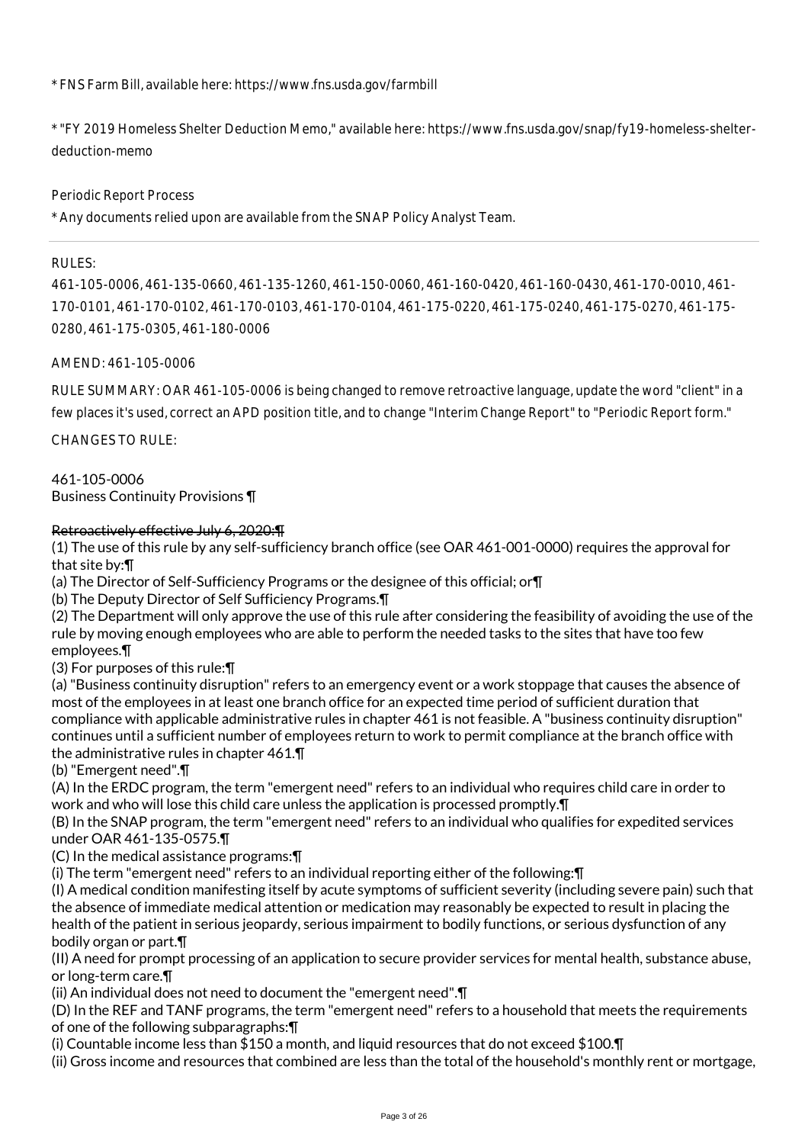\* FNS Farm Bill, available here: https://www.fns.usda.gov/farmbill

\* "FY 2019 Homeless Shelter Deduction Memo," available here: https://www.fns.usda.gov/snap/fy19-homeless-shelterdeduction-memo

Periodic Report Process

\* Any documents relied upon are available from the SNAP Policy Analyst Team.

#### RULES:

461-105-0006, 461-135-0660, 461-135-1260, 461-150-0060, 461-160-0420, 461-160-0430, 461-170-0010, 461- 170-0101, 461-170-0102, 461-170-0103, 461-170-0104, 461-175-0220, 461-175-0240, 461-175-0270, 461-175- 0280, 461-175-0305, 461-180-0006

AMEND: 461-105-0006

RULE SUMMARY: OAR 461-105-0006 is being changed to remove retroactive language, update the word "client" in a few places it's used, correct an APD position title, and to change "Interim Change Report" to "Periodic Report form."

CHANGES TO RULE:

461-105-0006 Business Continuity Provisions ¶

## Retroactively effective July 6, 2020:¶

(1) The use of this rule by any self-sufficiency branch office (see OAR 461-001-0000) requires the approval for that site by:¶

(a) The Director of Self-Sufficiency Programs or the designee of this official; or¶

(b) The Deputy Director of Self Sufficiency Programs.¶

(2) The Department will only approve the use of this rule after considering the feasibility of avoiding the use of the rule by moving enough employees who are able to perform the needed tasks to the sites that have too few employees.¶

(3) For purposes of this rule:¶

(a) "Business continuity disruption" refers to an emergency event or a work stoppage that causes the absence of most of the employees in at least one branch office for an expected time period of sufficient duration that compliance with applicable administrative rules in chapter 461 is not feasible. A "business continuity disruption" continues until a sufficient number of employees return to work to permit compliance at the branch office with the administrative rules in chapter 461.¶

(b) "Emergent need".¶

(A) In the ERDC program, the term "emergent need" refers to an individual who requires child care in order to work and who will lose this child care unless the application is processed promptly.¶

(B) In the SNAP program, the term "emergent need" refers to an individual who qualifies for expedited services under OAR 461-135-0575.¶

(C) In the medical assistance programs:¶

(i) The term "emergent need" refers to an individual reporting either of the following:¶

(I) A medical condition manifesting itself by acute symptoms of sufficient severity (including severe pain) such that the absence of immediate medical attention or medication may reasonably be expected to result in placing the health of the patient in serious jeopardy, serious impairment to bodily functions, or serious dysfunction of any bodily organ or part.¶

(II) A need for prompt processing of an application to secure provider services for mental health, substance abuse, or long-term care.¶

(ii) An individual does not need to document the "emergent need".¶

(D) In the REF and TANF programs, the term "emergent need" refers to a household that meets the requirements of one of the following subparagraphs:¶

(i) Countable income less than \$150 a month, and liquid resources that do not exceed \$100.¶

(ii) Gross income and resources that combined are less than the total of the household's monthly rent or mortgage,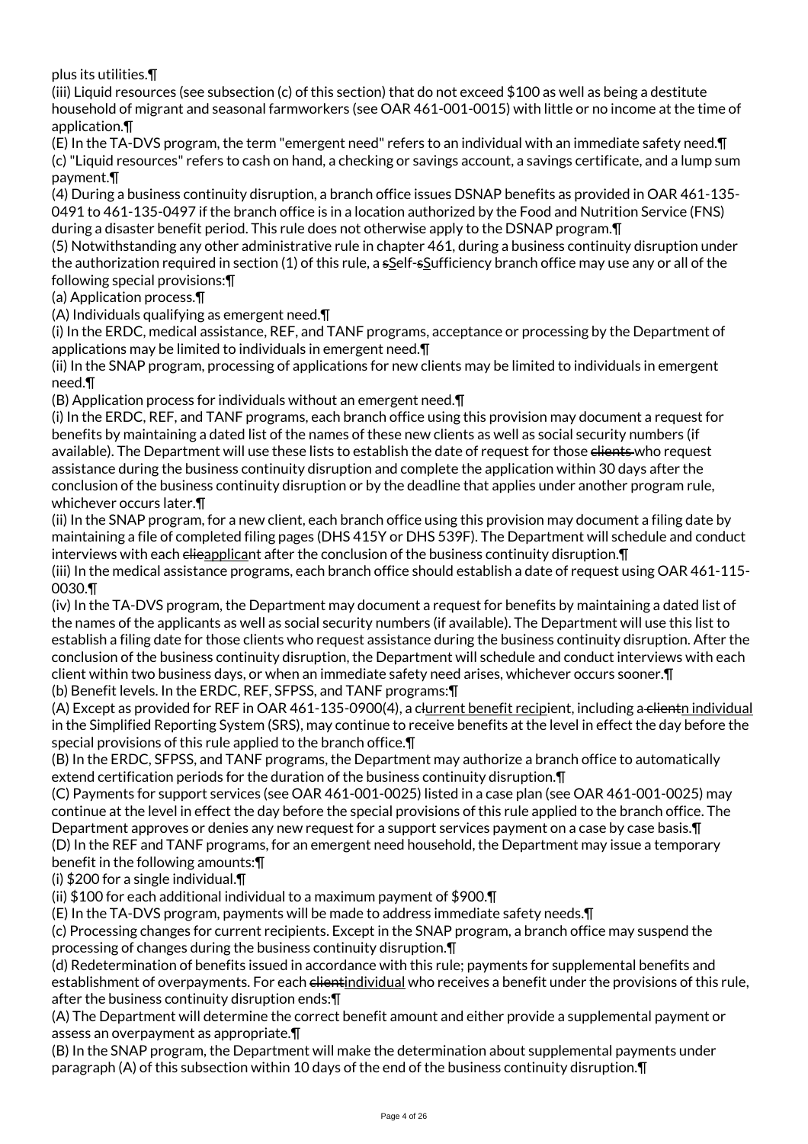plus its utilities.¶

(iii) Liquid resources (see subsection (c) of this section) that do not exceed \$100 as well as being a destitute household of migrant and seasonal farmworkers (see OAR 461-001-0015) with little or no income at the time of application.¶

(E) In the TA-DVS program, the term "emergent need" refers to an individual with an immediate safety need.¶ (c) "Liquid resources" refers to cash on hand, a checking or savings account, a savings certificate, and a lump sum payment.¶

(4) During a business continuity disruption, a branch office issues DSNAP benefits as provided in OAR 461-135- 0491 to 461-135-0497 if the branch office is in a location authorized by the Food and Nutrition Service (FNS) during a disaster benefit period. This rule does not otherwise apply to the DSNAP program.¶

(5) Notwithstanding any other administrative rule in chapter 461, during a business continuity disruption under the authorization required in section (1) of this rule, a sSelf-sSufficiency branch office may use any or all of the following special provisions:¶

(a) Application process.¶

(A) Individuals qualifying as emergent need.¶

(i) In the ERDC, medical assistance, REF, and TANF programs, acceptance or processing by the Department of applications may be limited to individuals in emergent need.¶

(ii) In the SNAP program, processing of applications for new clients may be limited to individuals in emergent need.¶

(B) Application process for individuals without an emergent need.¶

(i) In the ERDC, REF, and TANF programs, each branch office using this provision may document a request for benefits by maintaining a dated list of the names of these new clients as well as social security numbers (if available). The Department will use these lists to establish the date of request for those elients who request assistance during the business continuity disruption and complete the application within 30 days after the conclusion of the business continuity disruption or by the deadline that applies under another program rule, whichever occurs later.¶

(ii) In the SNAP program, for a new client, each branch office using this provision may document a filing date by maintaining a file of completed filing pages (DHS 415Y or DHS 539F). The Department will schedule and conduct interviews with each elieapplicant after the conclusion of the business continuity disruption. T

(iii) In the medical assistance programs, each branch office should establish a date of request using OAR 461-115- 0030.¶

(iv) In the TA-DVS program, the Department may document a request for benefits by maintaining a dated list of the names of the applicants as well as social security numbers (if available). The Department will use this list to establish a filing date for those clients who request assistance during the business continuity disruption. After the conclusion of the business continuity disruption, the Department will schedule and conduct interviews with each client within two business days, or when an immediate safety need arises, whichever occurs sooner.¶ (b) Benefit levels. In the ERDC, REF, SFPSS, and TANF programs:¶

(A) Except as provided for REF in OAR 461-135-0900(4), a clurrent benefit recipient, including a clientn individual in the Simplified Reporting System (SRS), may continue to receive benefits at the level in effect the day before the special provisions of this rule applied to the branch office.¶

(B) In the ERDC, SFPSS, and TANF programs, the Department may authorize a branch office to automatically extend certification periods for the duration of the business continuity disruption.¶

(C) Payments for support services (see OAR 461-001-0025) listed in a case plan (see OAR 461-001-0025) may continue at the level in effect the day before the special provisions of this rule applied to the branch office. The Department approves or denies any new request for a support services payment on a case by case basis.¶ (D) In the REF and TANF programs, for an emergent need household, the Department may issue a temporary benefit in the following amounts:¶

(i) \$200 for a single individual.¶

(ii) \$100 for each additional individual to a maximum payment of \$900.¶

(E) In the TA-DVS program, payments will be made to address immediate safety needs.¶

(c) Processing changes for current recipients. Except in the SNAP program, a branch office may suspend the processing of changes during the business continuity disruption.¶

(d) Redetermination of benefits issued in accordance with this rule; payments for supplemental benefits and establishment of overpayments. For each elientindividual who receives a benefit under the provisions of this rule, after the business continuity disruption ends:¶

(A) The Department will determine the correct benefit amount and either provide a supplemental payment or assess an overpayment as appropriate.¶

(B) In the SNAP program, the Department will make the determination about supplemental payments under paragraph (A) of this subsection within 10 days of the end of the business continuity disruption.¶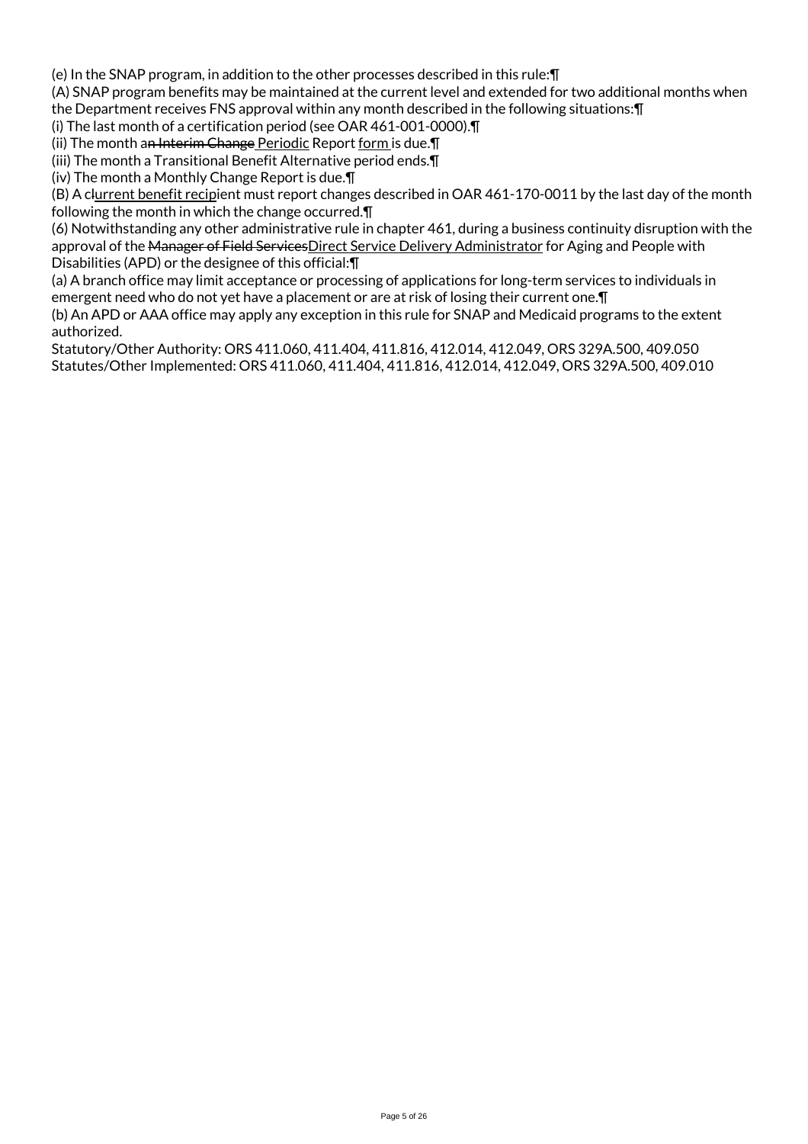(e) In the SNAP program, in addition to the other processes described in this rule:¶

(A) SNAP program benefits may be maintained at the current level and extended for two additional months when the Department receives FNS approval within any month described in the following situations:¶

(i) The last month of a certification period (see OAR 461-001-0000).¶

(ii) The month an Interim Change Periodic Report form is due.¶

(iii) The month a Transitional Benefit Alternative period ends.¶

(iv) The month a Monthly Change Report is due.¶

(B) A clurrent benefit recipient must report changes described in OAR 461-170-0011 by the last day of the month following the month in which the change occurred.¶

(6) Notwithstanding any other administrative rule in chapter 461, during a business continuity disruption with the approval of the Manager of Field ServicesDirect Service Delivery Administrator for Aging and People with Disabilities (APD) or the designee of this official:¶

(a) A branch office may limit acceptance or processing of applications for long-term services to individuals in emergent need who do not yet have a placement or are at risk of losing their current one.¶

(b) An APD or AAA office may apply any exception in this rule for SNAP and Medicaid programs to the extent authorized.

Statutory/Other Authority: ORS 411.060, 411.404, 411.816, 412.014, 412.049, ORS 329A.500, 409.050 Statutes/Other Implemented: ORS 411.060, 411.404, 411.816, 412.014, 412.049, ORS 329A.500, 409.010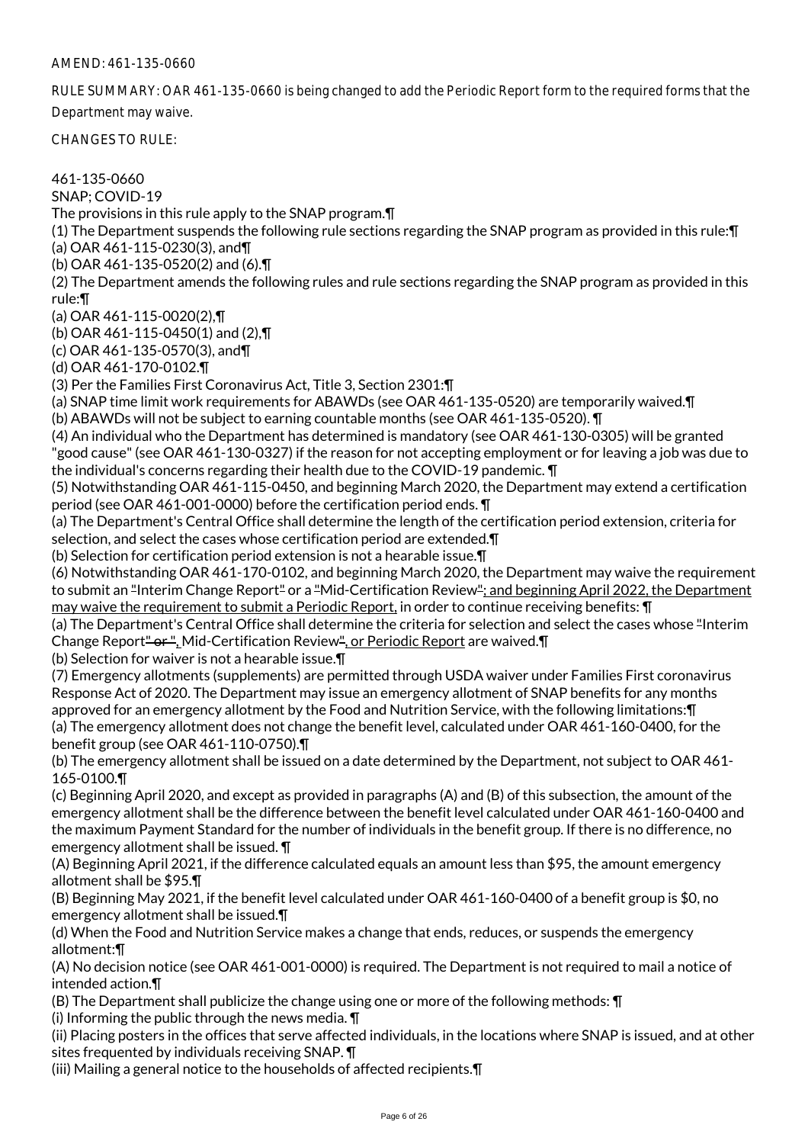RULE SUMMARY: OAR 461-135-0660 is being changed to add the Periodic Report form to the required forms that the Department may waive.

CHANGES TO RULE:

461-135-0660 SNAP; COVID-19 The provisions in this rule apply to the SNAP program.¶ (1) The Department suspends the following rule sections regarding the SNAP program as provided in this rule:¶ (a) OAR 461-115-0230(3), and¶ (b) OAR 461-135-0520(2) and (6).¶ (2) The Department amends the following rules and rule sections regarding the SNAP program as provided in this rule:¶ (a) OAR 461-115-0020(2),¶ (b) OAR 461-115-0450(1) and (2),¶ (c) OAR 461-135-0570(3), and¶ (d) OAR 461-170-0102.¶ (3) Per the Families First Coronavirus Act, Title 3, Section 2301:¶ (a) SNAP time limit work requirements for ABAWDs (see OAR 461-135-0520) are temporarily waived.¶ (b) ABAWDs will not be subject to earning countable months (see OAR 461-135-0520). ¶ (4) An individual who the Department has determined is mandatory (see OAR 461-130-0305) will be granted "good cause" (see OAR 461-130-0327) if the reason for not accepting employment or for leaving a job was due to the individual's concerns regarding their health due to the COVID-19 pandemic. ¶ (5) Notwithstanding OAR 461-115-0450, and beginning March 2020, the Department may extend a certification period (see OAR 461-001-0000) before the certification period ends. ¶ (a) The Department's Central Office shall determine the length of the certification period extension, criteria for selection, and select the cases whose certification period are extended.¶ (b) Selection for certification period extension is not a hearable issue.¶ (6) Notwithstanding OAR 461-170-0102, and beginning March 2020, the Department may waive the requirement to submit an "Interim Change Report" or a "Mid-Certification Review"; and beginning April 2022, the Department may waive the requirement to submit a Periodic Report, in order to continue receiving benefits: ¶ (a) The Department's Central Office shall determine the criteria for selection and select the cases whose "Interim Change Report<del>" or "</del>, Mid-Certification Review", or Periodic Report are waived. 1 (b) Selection for waiver is not a hearable issue.¶ (7) Emergency allotments (supplements) are permitted through USDA waiver under Families First coronavirus Response Act of 2020. The Department may issue an emergency allotment of SNAP benefits for any months approved for an emergency allotment by the Food and Nutrition Service, with the following limitations:¶ (a) The emergency allotment does not change the benefit level, calculated under OAR 461-160-0400, for the benefit group (see OAR 461-110-0750).¶ (b) The emergency allotment shall be issued on a date determined by the Department, not subject to OAR 461- 165-0100.¶ (c) Beginning April 2020, and except as provided in paragraphs (A) and (B) of this subsection, the amount of the emergency allotment shall be the difference between the benefit level calculated under OAR 461-160-0400 and the maximum Payment Standard for the number of individuals in the benefit group. If there is no difference, no emergency allotment shall be issued. ¶ (A) Beginning April 2021, if the difference calculated equals an amount less than \$95, the amount emergency allotment shall be \$95.¶ (B) Beginning May 2021, if the benefit level calculated under OAR 461-160-0400 of a benefit group is \$0, no emergency allotment shall be issued.¶ (d) When the Food and Nutrition Service makes a change that ends, reduces, or suspends the emergency allotment:¶ (A) No decision notice (see OAR 461-001-0000) is required. The Department is not required to mail a notice of intended action.¶

(B) The Department shall publicize the change using one or more of the following methods: ¶ (i) Informing the public through the news media. ¶

(ii) Placing posters in the offices that serve affected individuals, in the locations where SNAP is issued, and at other sites frequented by individuals receiving SNAP. ¶

(iii) Mailing a general notice to the households of affected recipients.¶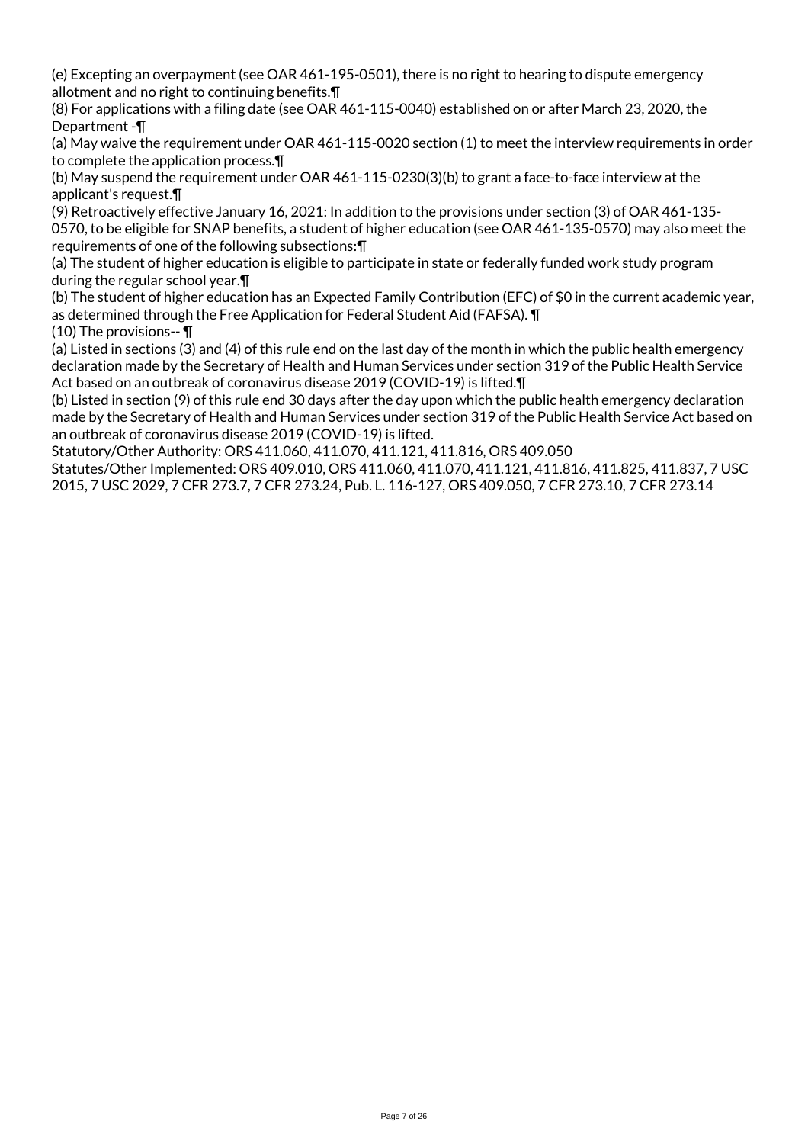(e) Excepting an overpayment (see OAR 461-195-0501), there is no right to hearing to dispute emergency allotment and no right to continuing benefits.¶

(8) For applications with a filing date (see OAR 461-115-0040) established on or after March 23, 2020, the Department -¶

(a) May waive the requirement under OAR 461-115-0020 section (1) to meet the interview requirements in order to complete the application process.¶

(b) May suspend the requirement under OAR 461-115-0230(3)(b) to grant a face-to-face interview at the applicant's request.¶

(9) Retroactively effective January 16, 2021: In addition to the provisions under section (3) of OAR 461-135- 0570, to be eligible for SNAP benefits, a student of higher education (see OAR 461-135-0570) may also meet the requirements of one of the following subsections:¶

(a) The student of higher education is eligible to participate in state or federally funded work study program during the regular school year.¶

(b) The student of higher education has an Expected Family Contribution (EFC) of \$0 in the current academic year, as determined through the Free Application for Federal Student Aid (FAFSA). ¶

(10) The provisions-- ¶

(a) Listed in sections (3) and (4) of this rule end on the last day of the month in which the public health emergency declaration made by the Secretary of Health and Human Services under section 319 of the Public Health Service Act based on an outbreak of coronavirus disease 2019 (COVID-19) is lifted.¶

(b) Listed in section (9) of this rule end 30 days after the day upon which the public health emergency declaration made by the Secretary of Health and Human Services under section 319 of the Public Health Service Act based on an outbreak of coronavirus disease 2019 (COVID-19) is lifted.

Statutory/Other Authority: ORS 411.060, 411.070, 411.121, 411.816, ORS 409.050

Statutes/Other Implemented: ORS 409.010, ORS 411.060, 411.070, 411.121, 411.816, 411.825, 411.837, 7 USC 2015, 7 USC 2029, 7 CFR 273.7, 7 CFR 273.24, Pub. L. 116-127, ORS 409.050, 7 CFR 273.10, 7 CFR 273.14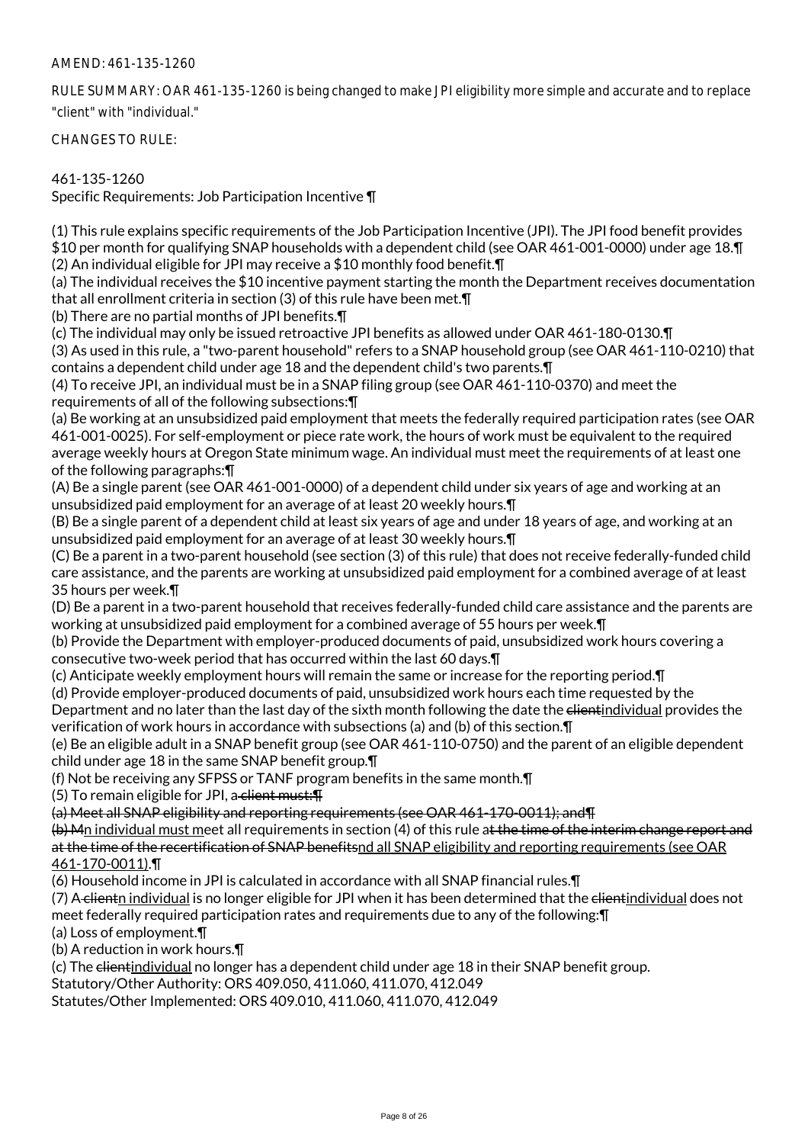RULE SUMMARY: OAR 461-135-1260 is being changed to make JPI eligibility more simple and accurate and to replace "client" with "individual."

CHANGES TO RULE:

### 461-135-1260

Specific Requirements: Job Participation Incentive ¶

(1) This rule explains specific requirements of the Job Participation Incentive (JPI). The JPI food benefit provides \$10 per month for qualifying SNAP households with a dependent child (see OAR 461-001-0000) under age 18.¶ (2) An individual eligible for JPI may receive a \$10 monthly food benefit.¶

(a) The individual receives the \$10 incentive payment starting the month the Department receives documentation that all enrollment criteria in section (3) of this rule have been met.¶

(b) There are no partial months of JPI benefits.¶

(c) The individual may only be issued retroactive JPI benefits as allowed under OAR 461-180-0130.¶

(3) As used in this rule, a "two-parent household" refers to a SNAP household group (see OAR 461-110-0210) that contains a dependent child under age 18 and the dependent child's two parents.¶

(4) To receive JPI, an individual must be in a SNAP filing group (see OAR 461-110-0370) and meet the requirements of all of the following subsections:¶

(a) Be working at an unsubsidized paid employment that meets the federally required participation rates (see OAR 461-001-0025). For self-employment or piece rate work, the hours of work must be equivalent to the required average weekly hours at Oregon State minimum wage. An individual must meet the requirements of at least one of the following paragraphs:¶

(A) Be a single parent (see OAR 461-001-0000) of a dependent child under six years of age and working at an unsubsidized paid employment for an average of at least 20 weekly hours.¶

(B) Be a single parent of a dependent child at least six years of age and under 18 years of age, and working at an unsubsidized paid employment for an average of at least 30 weekly hours.¶

(C) Be a parent in a two-parent household (see section (3) of this rule) that does not receive federally-funded child care assistance, and the parents are working at unsubsidized paid employment for a combined average of at least 35 hours per week.¶

(D) Be a parent in a two-parent household that receives federally-funded child care assistance and the parents are working at unsubsidized paid employment for a combined average of 55 hours per week.¶

(b) Provide the Department with employer-produced documents of paid, unsubsidized work hours covering a consecutive two-week period that has occurred within the last 60 days.¶

(c) Anticipate weekly employment hours will remain the same or increase for the reporting period.¶

(d) Provide employer-produced documents of paid, unsubsidized work hours each time requested by the

Department and no later than the last day of the sixth month following the date the elientindividual provides the verification of work hours in accordance with subsections (a) and (b) of this section.¶

(e) Be an eligible adult in a SNAP benefit group (see OAR 461-110-0750) and the parent of an eligible dependent child under age 18 in the same SNAP benefit group.¶

(f) Not be receiving any SFPSS or TANF program benefits in the same month.¶

(5) To remain eligible for JPI, a client must: $\P$ 

(a) Meet all SNAP eligibility and reporting requirements (see OAR 461-170-0011); and¶

 $(b)$  Mn individual must meet all requirements in section (4) of this rule at the time of the interim change report and at the time of the recertification of SNAP benefitsnd all SNAP eligibility and reporting requirements (see OAR 461-170-0011).¶

(6) Household income in JPI is calculated in accordance with all SNAP financial rules.¶

(7) A clientn individual is no longer eligible for JPI when it has been determined that the clientindividual does not meet federally required participation rates and requirements due to any of the following:¶

(a) Loss of employment.¶

(b) A reduction in work hours.¶

(c) The elientindividual no longer has a dependent child under age 18 in their SNAP benefit group.

Statutory/Other Authority: ORS 409.050, 411.060, 411.070, 412.049

Statutes/Other Implemented: ORS 409.010, 411.060, 411.070, 412.049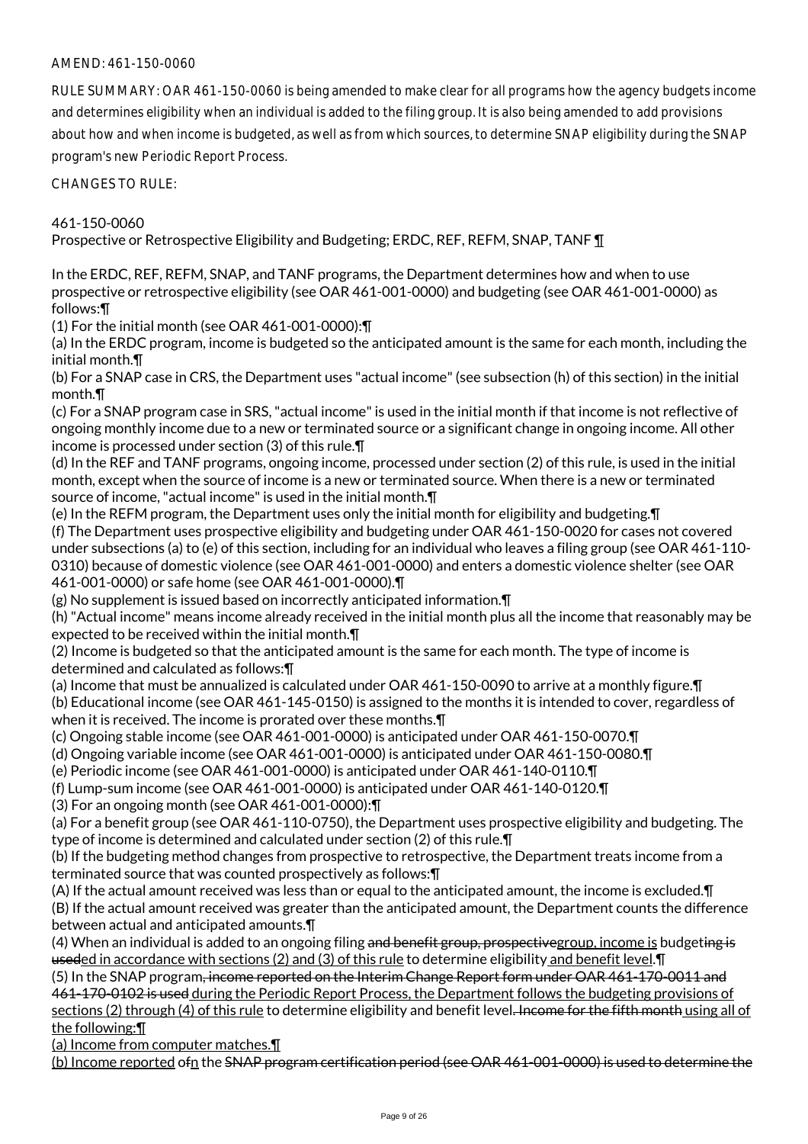RULE SUMMARY: OAR 461-150-0060 is being amended to make clear for all programs how the agency budgets income and determines eligibility when an individual is added to the filing group. It is also being amended to add provisions about how and when income is budgeted, as well as from which sources, to determine SNAP eligibility during the SNAP program's new Periodic Report Process.

CHANGES TO RULE:

461-150-0060

Prospective or Retrospective Eligibility and Budgeting; ERDC, REF, REFM, SNAP, TANF ¶

In the ERDC, REF, REFM, SNAP, and TANF programs, the Department determines how and when to use prospective or retrospective eligibility (see OAR 461-001-0000) and budgeting (see OAR 461-001-0000) as follows:¶

(1) For the initial month (see OAR 461-001-0000):¶

(a) In the ERDC program, income is budgeted so the anticipated amount is the same for each month, including the initial month.¶

(b) For a SNAP case in CRS, the Department uses "actual income" (see subsection (h) of this section) in the initial month.¶

(c) For a SNAP program case in SRS, "actual income" is used in the initial month if that income is not reflective of ongoing monthly income due to a new or terminated source or a significant change in ongoing income. All other income is processed under section (3) of this rule.¶

(d) In the REF and TANF programs, ongoing income, processed under section (2) of this rule, is used in the initial month, except when the source of income is a new or terminated source. When there is a new or terminated source of income, "actual income" is used in the initial month.¶

(e) In the REFM program, the Department uses only the initial month for eligibility and budgeting.¶ (f) The Department uses prospective eligibility and budgeting under OAR 461-150-0020 for cases not covered under subsections (a) to (e) of this section, including for an individual who leaves a filing group (see OAR 461-110- 0310) because of domestic violence (see OAR 461-001-0000) and enters a domestic violence shelter (see OAR 461-001-0000) or safe home (see OAR 461-001-0000).¶

(g) No supplement is issued based on incorrectly anticipated information.¶

(h) "Actual income" means income already received in the initial month plus all the income that reasonably may be expected to be received within the initial month.¶

(2) Income is budgeted so that the anticipated amount is the same for each month. The type of income is determined and calculated as follows:¶

(a) Income that must be annualized is calculated under OAR 461-150-0090 to arrive at a monthly figure.¶

(b) Educational income (see OAR 461-145-0150) is assigned to the months it is intended to cover, regardless of when it is received. The income is prorated over these months.  $\P$ 

(c) Ongoing stable income (see OAR 461-001-0000) is anticipated under OAR 461-150-0070.¶

(d) Ongoing variable income (see OAR 461-001-0000) is anticipated under OAR 461-150-0080.¶

(e) Periodic income (see OAR 461-001-0000) is anticipated under OAR 461-140-0110.¶

(f) Lump-sum income (see OAR 461-001-0000) is anticipated under OAR 461-140-0120.¶

(3) For an ongoing month (see OAR 461-001-0000):¶

(a) For a benefit group (see OAR 461-110-0750), the Department uses prospective eligibility and budgeting. The type of income is determined and calculated under section (2) of this rule.¶

(b) If the budgeting method changes from prospective to retrospective, the Department treats income from a terminated source that was counted prospectively as follows:¶

(A) If the actual amount received was less than or equal to the anticipated amount, the income is excluded.¶ (B) If the actual amount received was greater than the anticipated amount, the Department counts the difference between actual and anticipated amounts.¶

(4) When an individual is added to an ongoing filing and benefit group, prospectivegroup, income is budgeting is useded in accordance with sections (2) and (3) of this rule to determine eligibility and benefit level.¶

(5) In the SNAP program, income reported on the Interim Change Report form under OAR 461-170-0011 and 461-170-0102 is used during the Periodic Report Process, the Department follows the budgeting provisions of sections (2) through (4) of this rule to determine eligibility and benefit level. Income for the fifth month using all of the following:¶

(a) Income from computer matches.¶

(b) Income reported ofn the SNAP program certification period (see OAR 461-001-0000) is used to determine the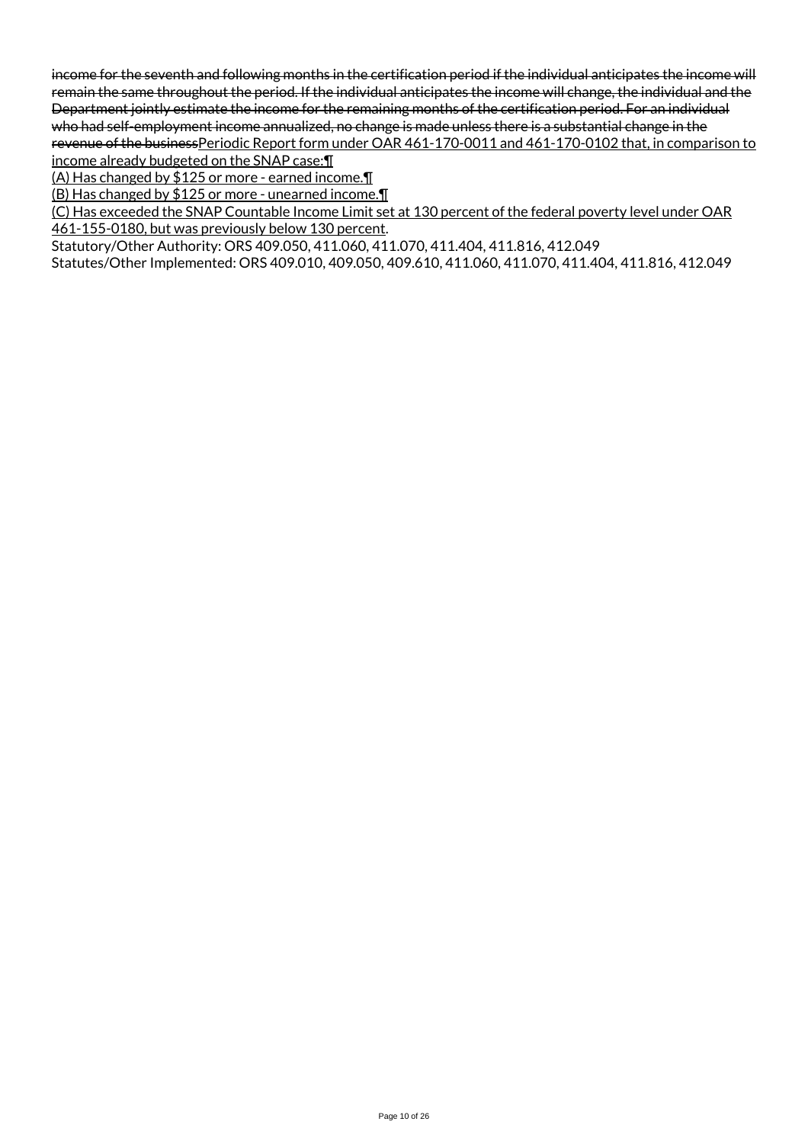income for the seventh and following months in the certification period if the individual anticipates the income will remain the same throughout the period. If the individual anticipates the income will change, the individual and the Department jointly estimate the income for the remaining months of the certification period. For an individual who had self-employment income annualized, no change is made unless there is a substantial change in the revenue of the businessPeriodic Report form under OAR 461-170-0011 and 461-170-0102 that, in comparison to

income already budgeted on the SNAP case:¶ (A) Has changed by \$125 or more - earned income.¶

(B) Has changed by \$125 or more - unearned income.¶

(C) Has exceeded the SNAP Countable Income Limit set at 130 percent of the federal poverty level under OAR 461-155-0180, but was previously below 130 percent.

Statutory/Other Authority: ORS 409.050, 411.060, 411.070, 411.404, 411.816, 412.049

Statutes/Other Implemented: ORS 409.010, 409.050, 409.610, 411.060, 411.070, 411.404, 411.816, 412.049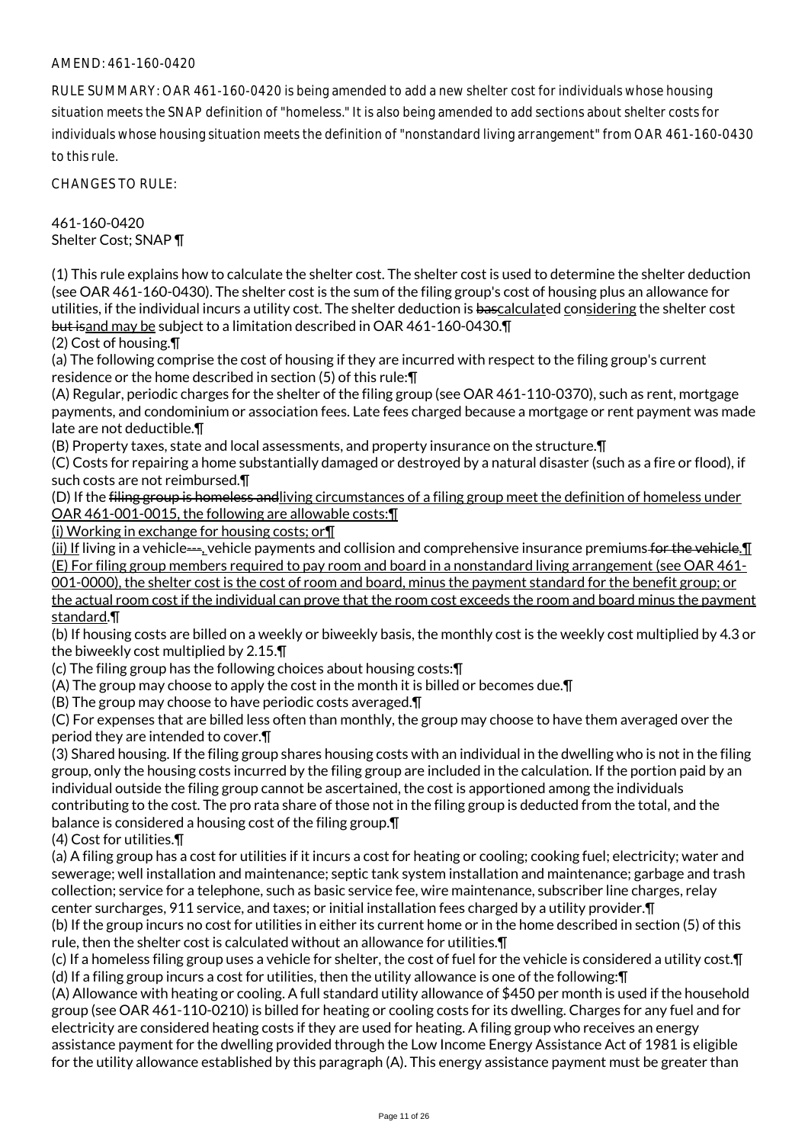RULE SUMMARY: OAR 461-160-0420 is being amended to add a new shelter cost for individuals whose housing situation meets the SNAP definition of "homeless." It is also being amended to add sections about shelter costs for individuals whose housing situation meets the definition of "nonstandard living arrangement" from OAR 461-160-0430 to this rule.

CHANGES TO RULE:

461-160-0420 Shelter Cost; SNAP ¶

(1) This rule explains how to calculate the shelter cost. The shelter cost is used to determine the shelter deduction (see OAR 461-160-0430). The shelter cost is the sum of the filing group's cost of housing plus an allowance for utilities, if the individual incurs a utility cost. The shelter deduction is bascalculated considering the shelter cost but isand may be subject to a limitation described in OAR 461-160-0430.¶

(2) Cost of housing.¶

(a) The following comprise the cost of housing if they are incurred with respect to the filing group's current residence or the home described in section (5) of this rule:¶

(A) Regular, periodic charges for the shelter of the filing group (see OAR 461-110-0370), such as rent, mortgage payments, and condominium or association fees. Late fees charged because a mortgage or rent payment was made late are not deductible.¶

(B) Property taxes, state and local assessments, and property insurance on the structure.¶

(C) Costs for repairing a home substantially damaged or destroyed by a natural disaster (such as a fire or flood), if such costs are not reimbursed.¶

(D) If the filing group is homeless andliving circumstances of a filing group meet the definition of homeless under OAR 461-001-0015, the following are allowable costs:¶

(i) Working in exchange for housing costs; or¶

(ii) If living in a vehicle—, vehicle payments and collision and comprehensive insurance premiums for the vehicle.¶ (E) For filing group members required to pay room and board in a nonstandard living arrangement (see OAR 461- 001-0000), the shelter cost is the cost of room and board, minus the payment standard for the benefit group; or

the actual room cost if the individual can prove that the room cost exceeds the room and board minus the payment standard.¶

(b) If housing costs are billed on a weekly or biweekly basis, the monthly cost is the weekly cost multiplied by 4.3 or the biweekly cost multiplied by 2.15.¶

(c) The filing group has the following choices about housing costs:¶

(A) The group may choose to apply the cost in the month it is billed or becomes due.¶

(B) The group may choose to have periodic costs averaged.¶

(C) For expenses that are billed less often than monthly, the group may choose to have them averaged over the period they are intended to cover.¶

(3) Shared housing. If the filing group shares housing costs with an individual in the dwelling who is not in the filing group, only the housing costs incurred by the filing group are included in the calculation. If the portion paid by an individual outside the filing group cannot be ascertained, the cost is apportioned among the individuals contributing to the cost. The pro rata share of those not in the filing group is deducted from the total, and the balance is considered a housing cost of the filing group.¶

(4) Cost for utilities.¶

(a) A filing group has a cost for utilities if it incurs a cost for heating or cooling; cooking fuel; electricity; water and sewerage; well installation and maintenance; septic tank system installation and maintenance; garbage and trash collection; service for a telephone, such as basic service fee, wire maintenance, subscriber line charges, relay center surcharges, 911 service, and taxes; or initial installation fees charged by a utility provider.¶

(b) If the group incurs no cost for utilities in either its current home or in the home described in section (5) of this rule, then the shelter cost is calculated without an allowance for utilities.¶

(c) If a homeless filing group uses a vehicle for shelter, the cost of fuel for the vehicle is considered a utility cost.¶ (d) If a filing group incurs a cost for utilities, then the utility allowance is one of the following:¶

(A) Allowance with heating or cooling. A full standard utility allowance of \$450 per month is used if the household group (see OAR 461-110-0210) is billed for heating or cooling costs for its dwelling. Charges for any fuel and for electricity are considered heating costs if they are used for heating. A filing group who receives an energy assistance payment for the dwelling provided through the Low Income Energy Assistance Act of 1981 is eligible for the utility allowance established by this paragraph (A). This energy assistance payment must be greater than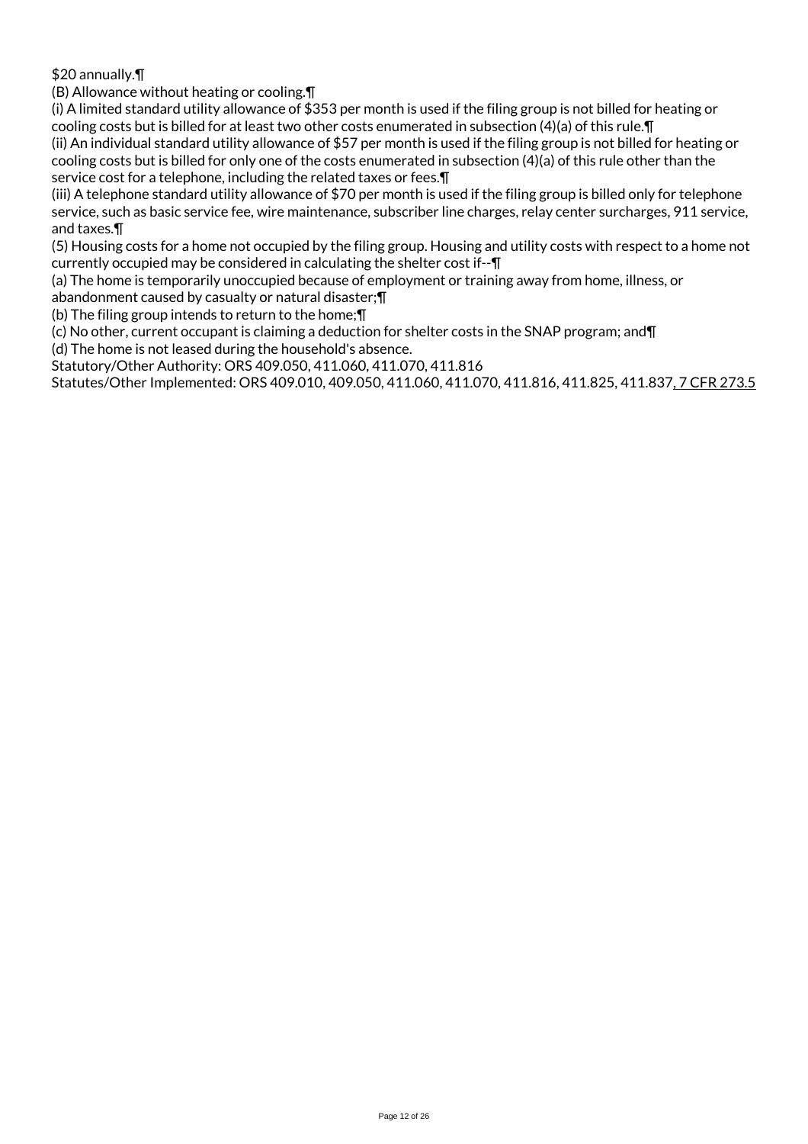\$20 annually.¶

(B) Allowance without heating or cooling.¶

(i) A limited standard utility allowance of \$353 per month is used if the filing group is not billed for heating or cooling costs but is billed for at least two other costs enumerated in subsection (4)(a) of this rule.¶ (ii) An individual standard utility allowance of \$57 per month is used if the filing group is not billed for heating or

cooling costs but is billed for only one of the costs enumerated in subsection (4)(a) of this rule other than the service cost for a telephone, including the related taxes or fees.¶

(iii) A telephone standard utility allowance of \$70 per month is used if the filing group is billed only for telephone service, such as basic service fee, wire maintenance, subscriber line charges, relay center surcharges, 911 service, and taxes.¶

(5) Housing costs for a home not occupied by the filing group. Housing and utility costs with respect to a home not currently occupied may be considered in calculating the shelter cost if--¶

(a) The home is temporarily unoccupied because of employment or training away from home, illness, or

abandonment caused by casualty or natural disaster;¶

(b) The filing group intends to return to the home;¶

(c) No other, current occupant is claiming a deduction for shelter costs in the SNAP program; and¶

(d) The home is not leased during the household's absence.

Statutory/Other Authority: ORS 409.050, 411.060, 411.070, 411.816

Statutes/Other Implemented: ORS 409.010, 409.050, 411.060, 411.070, 411.816, 411.825, 411.837, 7 CFR 273.5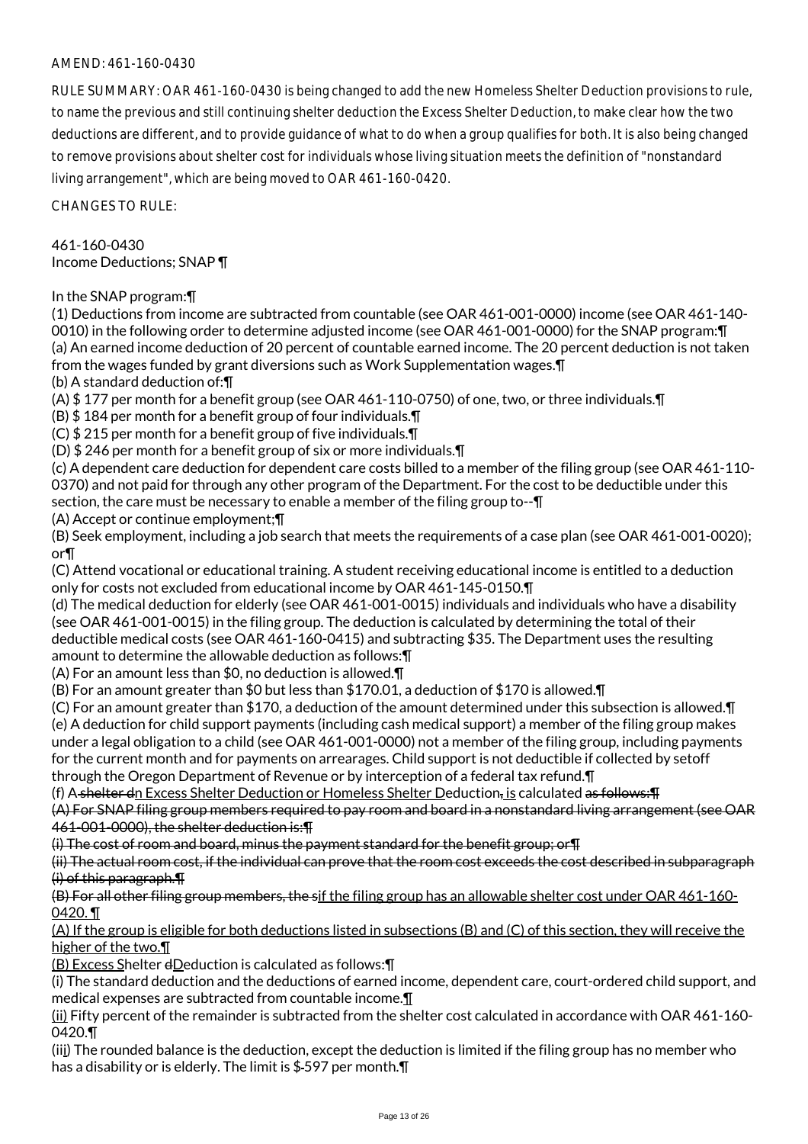RULE SUMMARY: OAR 461-160-0430 is being changed to add the new Homeless Shelter Deduction provisions to rule, to name the previous and still continuing shelter deduction the Excess Shelter Deduction, to make clear how the two deductions are different, and to provide guidance of what to do when a group qualifies for both. It is also being changed to remove provisions about shelter cost for individuals whose living situation meets the definition of "nonstandard living arrangement", which are being moved to OAR 461-160-0420.

CHANGES TO RULE:

461-160-0430 Income Deductions; SNAP ¶

In the SNAP program:¶

(1) Deductions from income are subtracted from countable (see OAR 461-001-0000) income (see OAR 461-140- 0010) in the following order to determine adjusted income (see OAR 461-001-0000) for the SNAP program:¶ (a) An earned income deduction of 20 percent of countable earned income. The 20 percent deduction is not taken from the wages funded by grant diversions such as Work Supplementation wages.¶

(b) A standard deduction of:¶

(A) \$ 177 per month for a benefit group (see OAR 461-110-0750) of one, two, or three individuals.¶

(B) \$ 184 per month for a benefit group of four individuals.¶

(C) \$ 215 per month for a benefit group of five individuals.¶

(D) \$ 246 per month for a benefit group of six or more individuals.¶

(c) A dependent care deduction for dependent care costs billed to a member of the filing group (see OAR 461-110- 0370) and not paid for through any other program of the Department. For the cost to be deductible under this section, the care must be necessary to enable a member of the filing group to--¶

(A) Accept or continue employment;¶

(B) Seek employment, including a job search that meets the requirements of a case plan (see OAR 461-001-0020); or¶

(C) Attend vocational or educational training. A student receiving educational income is entitled to a deduction only for costs not excluded from educational income by OAR 461-145-0150.¶

(d) The medical deduction for elderly (see OAR 461-001-0015) individuals and individuals who have a disability (see OAR 461-001-0015) in the filing group. The deduction is calculated by determining the total of their deductible medical costs (see OAR 461-160-0415) and subtracting \$35. The Department uses the resulting amount to determine the allowable deduction as follows:¶

(A) For an amount less than \$0, no deduction is allowed.¶

(B) For an amount greater than \$0 but less than \$170.01, a deduction of \$170 is allowed.¶

(C) For an amount greater than \$170, a deduction of the amount determined under this subsection is allowed.¶ (e) A deduction for child support payments (including cash medical support) a member of the filing group makes under a legal obligation to a child (see OAR 461-001-0000) not a member of the filing group, including payments for the current month and for payments on arrearages. Child support is not deductible if collected by setoff through the Oregon Department of Revenue or by interception of a federal tax refund.¶

(f) A shelter dn Excess Shelter Deduction or Homeless Shelter Deduction, is calculated as follows: [I]

(A) For SNAP filing group members required to pay room and board in a nonstandard living arrangement (see OAR 461-001-0000), the shelter deduction is:¶

(i) The cost of room and board, minus the payment standard for the benefit group; or¶

(ii) The actual room cost, if the individual can prove that the room cost exceeds the cost described in subparagraph (i) of this paragraph.¶

(B) For all other filing group members, the sif the filing group has an allowable shelter cost under OAR 461-160- 0420.

(A) If the group is eligible for both deductions listed in subsections (B) and (C) of this section, they will receive the higher of the two.¶

(B) Excess Shelter dDeduction is calculated as follows:¶

(i) The standard deduction and the deductions of earned income, dependent care, court-ordered child support, and medical expenses are subtracted from countable income.¶

(ii) Fifty percent of the remainder is subtracted from the shelter cost calculated in accordance with OAR 461-160- 0420.¶

(iii) The rounded balance is the deduction, except the deduction is limited if the filing group has no member who has a disability or is elderly. The limit is \$-597 per month.  $\P$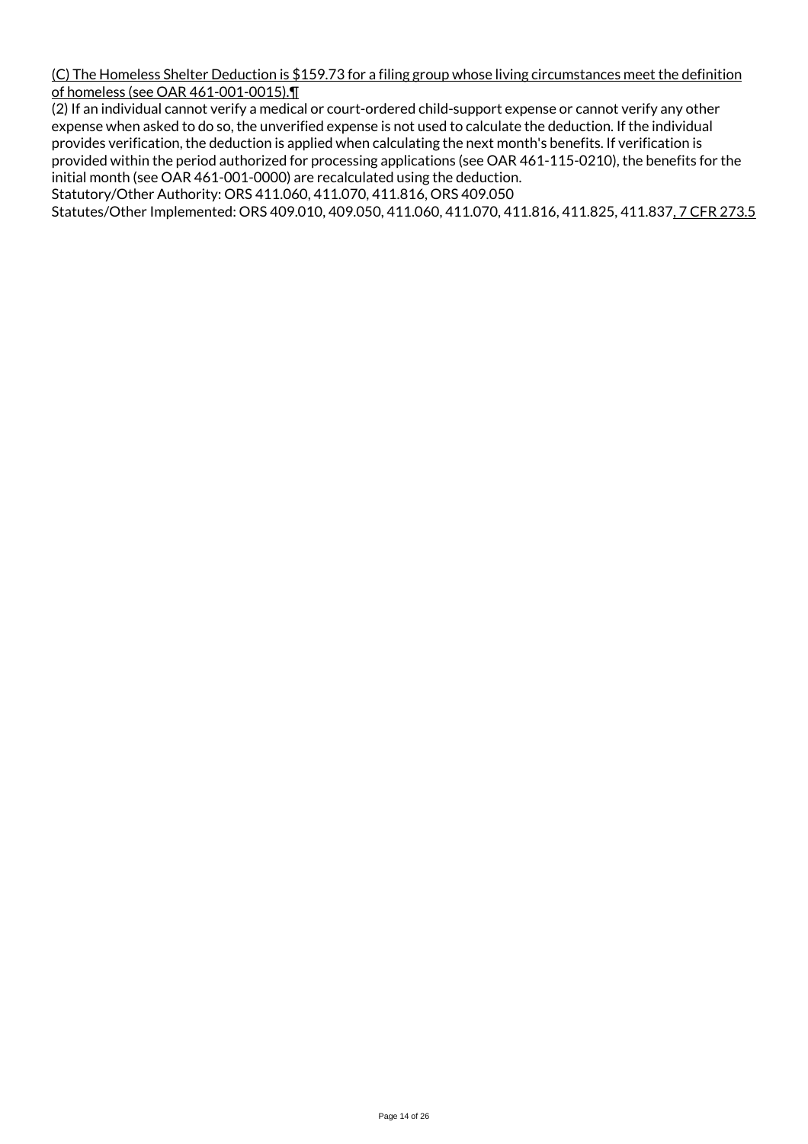(C) The Homeless Shelter Deduction is \$159.73 for a filing group whose living circumstances meet the definition of homeless (see OAR 461-001-0015).¶

(2) If an individual cannot verify a medical or court-ordered child-support expense or cannot verify any other expense when asked to do so, the unverified expense is not used to calculate the deduction. If the individual provides verification, the deduction is applied when calculating the next month's benefits. If verification is provided within the period authorized for processing applications (see OAR 461-115-0210), the benefits for the initial month (see OAR 461-001-0000) are recalculated using the deduction.

Statutory/Other Authority: ORS 411.060, 411.070, 411.816, ORS 409.050

Statutes/Other Implemented: ORS 409.010, 409.050, 411.060, 411.070, 411.816, 411.825, 411.837, 7 CFR 273.5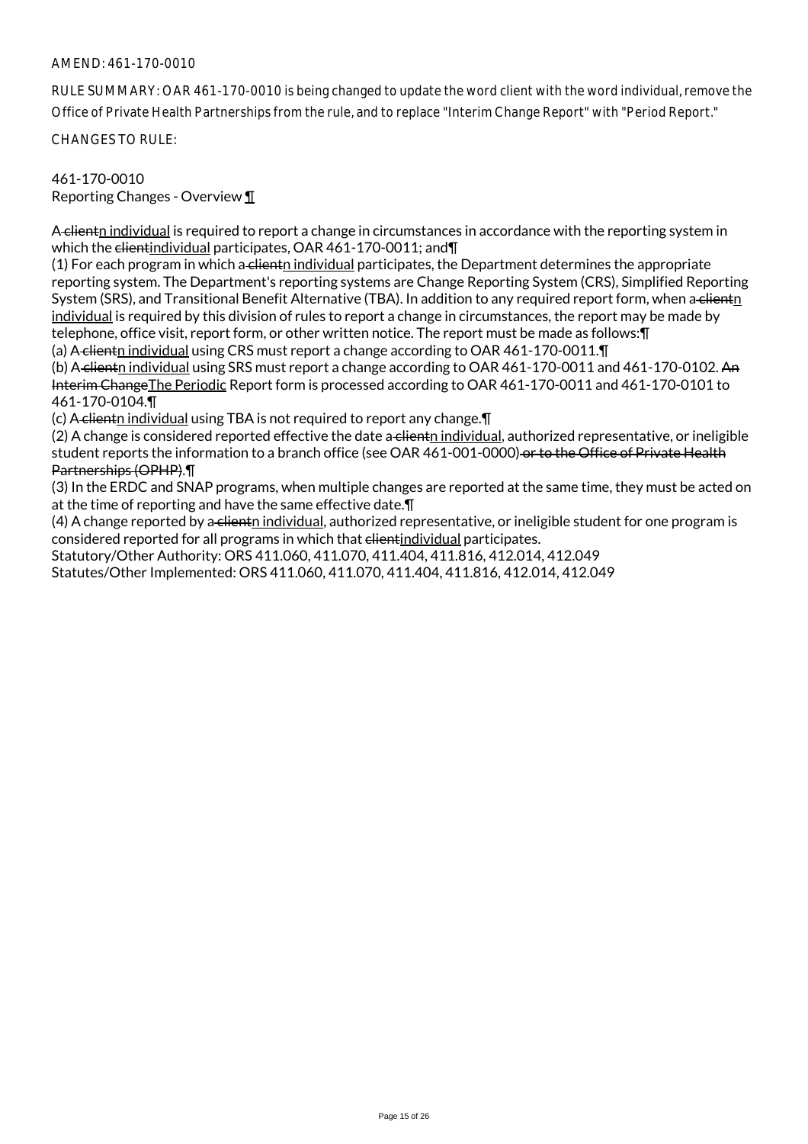RULE SUMMARY: OAR 461-170-0010 is being changed to update the word client with the word individual, remove the Office of Private Health Partnerships from the rule, and to replace "Interim Change Report" with "Period Report."

CHANGES TO RULE:

## 461-170-0010 Reporting Changes - Overview ¶

A clientn individual is required to report a change in circumstances in accordance with the reporting system in which the clientindividual participates, OAR 461-170-0011; and

(1) For each program in which a clienth individual participates, the Department determines the appropriate reporting system. The Department's reporting systems are Change Reporting System (CRS), Simplified Reporting System (SRS), and Transitional Benefit Alternative (TBA). In addition to any required report form, when a clientn individual is required by this division of rules to report a change in circumstances, the report may be made by telephone, office visit, report form, or other written notice. The report must be made as follows:¶ (a) A clientn individual using CRS must report a change according to OAR 461-170-0011.¶

(b) A-clientn individual using SRS must report a change according to OAR 461-170-0011 and 461-170-0102. An Interim ChangeThe Periodic Report form is processed according to OAR 461-170-0011 and 461-170-0101 to 461-170-0104.¶

(c) A clientn individual using TBA is not required to report any change.¶

 $(2)$  A change is considered reported effective the date a clientn individual, authorized representative, or ineligible student reports the information to a branch office (see OAR 461-001-0000) or to the Office of Private Health Partnerships (OPHP).¶

(3) In the ERDC and SNAP programs, when multiple changes are reported at the same time, they must be acted on at the time of reporting and have the same effective date.¶

(4) A change reported by a clienth individual, authorized representative, or ineligible student for one program is considered reported for all programs in which that elientindividual participates.

Statutory/Other Authority: ORS 411.060, 411.070, 411.404, 411.816, 412.014, 412.049 Statutes/Other Implemented: ORS 411.060, 411.070, 411.404, 411.816, 412.014, 412.049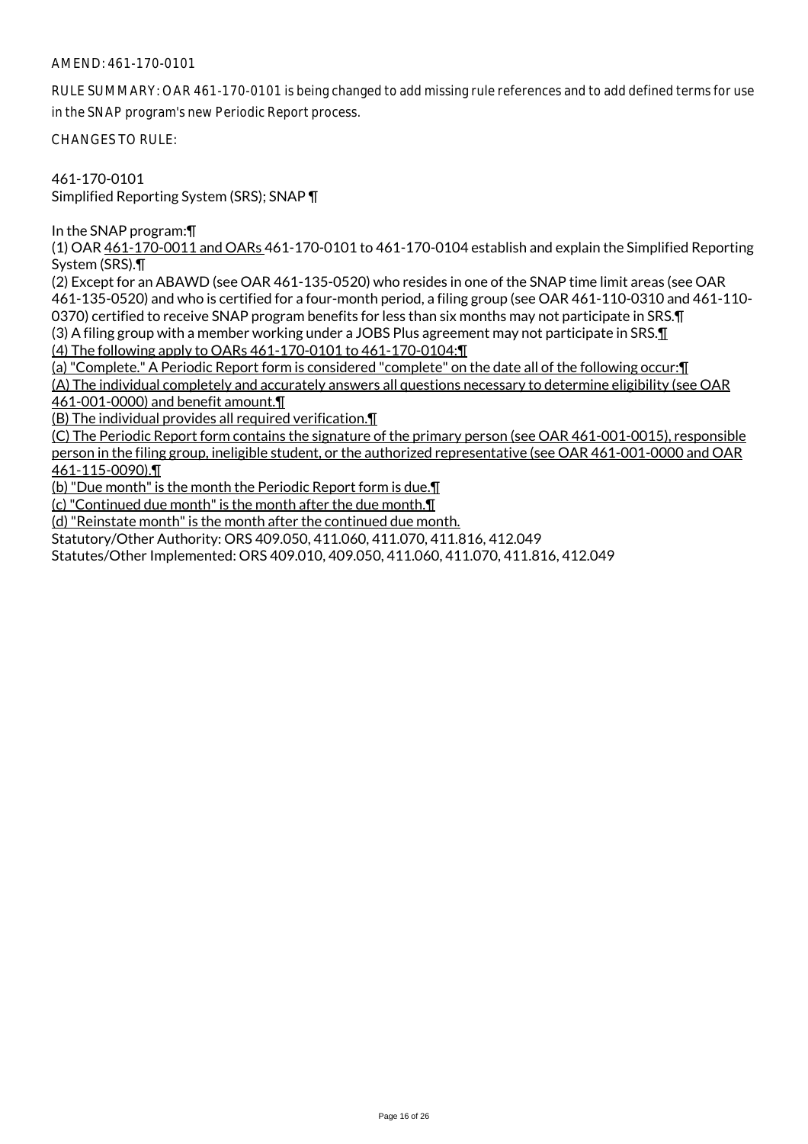RULE SUMMARY: OAR 461-170-0101 is being changed to add missing rule references and to add defined terms for use in the SNAP program's new Periodic Report process.

CHANGES TO RULE:

461-170-0101 Simplified Reporting System (SRS); SNAP ¶

In the SNAP program:¶

(1) OAR 461-170-0011 and OARs 461-170-0101 to 461-170-0104 establish and explain the Simplified Reporting System (SRS).¶

(2) Except for an ABAWD (see OAR 461-135-0520) who resides in one of the SNAP time limit areas (see OAR 461-135-0520) and who is certified for a four-month period, a filing group (see OAR 461-110-0310 and 461-110- 0370) certified to receive SNAP program benefits for less than six months may not participate in SRS.¶ (3) A filing group with a member working under a JOBS Plus agreement may not participate in SRS. $\mathbf{I}$ 

(4) The following apply to OARs 461-170-0101 to 461-170-0104:¶

(a) "Complete." A Periodic Report form is considered "complete" on the date all of the following occur:¶

(A) The individual completely and accurately answers all questions necessary to determine eligibility (see OAR 461-001-0000) and benefit amount.¶

(B) The individual provides all required verification.¶

(C) The Periodic Report form contains the signature of the primary person (see OAR 461-001-0015), responsible person in the filing group, ineligible student, or the authorized representative (see OAR 461-001-0000 and OAR 461-115-0090).¶

(b) "Due month" is the month the Periodic Report form is due.¶

(c) "Continued due month" is the month after the due month.¶

(d) "Reinstate month" is the month after the continued due month.

Statutory/Other Authority: ORS 409.050, 411.060, 411.070, 411.816, 412.049

Statutes/Other Implemented: ORS 409.010, 409.050, 411.060, 411.070, 411.816, 412.049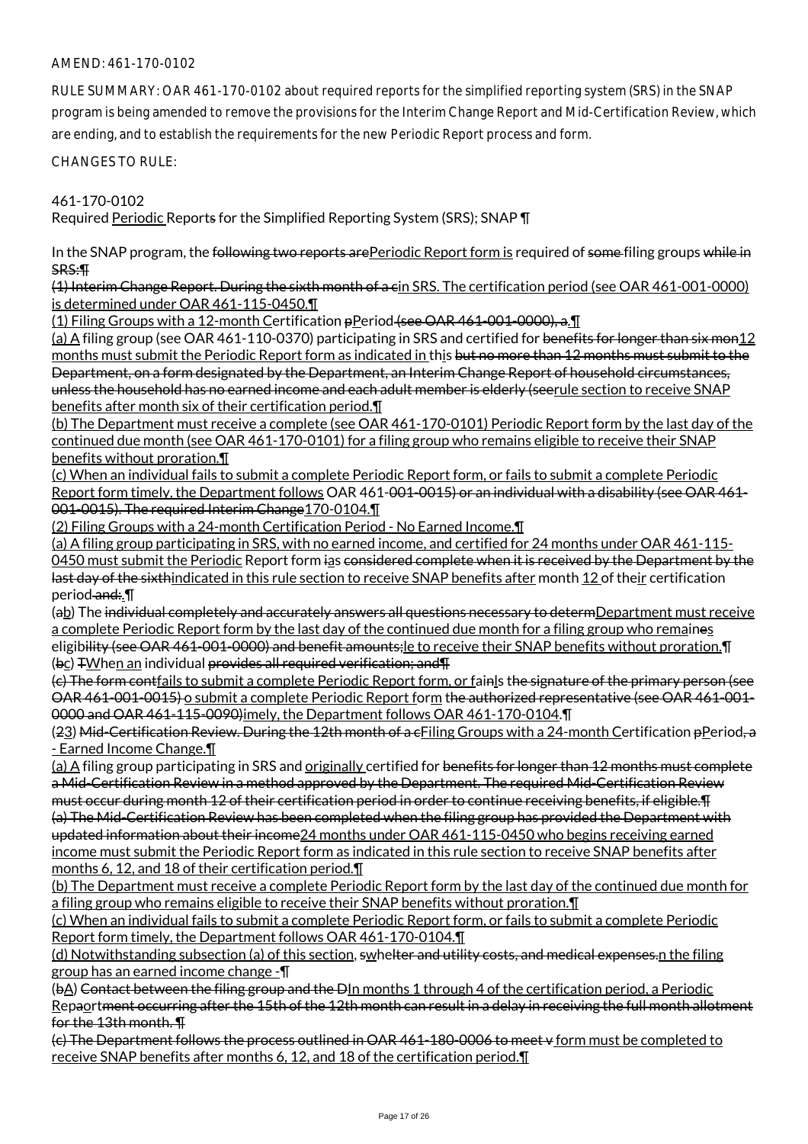RULE SUMMARY: OAR 461-170-0102 about required reports for the simplified reporting system (SRS) in the SNAP program is being amended to remove the provisions for the Interim Change Report and Mid-Certification Review, which are ending, and to establish the requirements for the new Periodic Report process and form.

CHANGES TO RULE:

461-170-0102

Required Periodic Reports for the Simplified Reporting System (SRS); SNAP ¶

In the SNAP program, the following two reports are Periodic Report form is required of some filing groups while in SRS:¶

(1) Interim Change Report. During the sixth month of a cin SRS. The certification period (see OAR 461-001-0000) is determined under OAR 461-115-0450.¶

(1) Filing Groups with a 12-month Certification pPeriod (see OAR 461-001-0000), a.¶

(a) A filing group (see OAR 461-110-0370) participating in SRS and certified for <del>benefits for longer than six mon</del>12 months must submit the Periodic Report form as indicated in this but no more than 12 months must submit to the Department, on a form designated by the Department, an Interim Change Report of household circumstances, unless the household has no earned income and each adult member is elderly (seerule section to receive SNAP benefits after month six of their certification period.¶

(b) The Department must receive a complete (see OAR 461-170-0101) Periodic Report form by the last day of the continued due month (see OAR 461-170-0101) for a filing group who remains eligible to receive their SNAP benefits without proration.¶

(c) When an individual fails to submit a complete Periodic Report form, or fails to submit a complete Periodic Report form timely, the Department follows OAR 461-001-0015) or an individual with a disability (see OAR 461-001-0015). The required Interim Change 170-0104.

(2) Filing Groups with a 24-month Certification Period - No Earned Income.¶

(a) A filing group participating in SRS, with no earned income, and certified for 24 months under OAR 461-115- 0450 must submit the Periodic Report form ias <del>considered complete when it is received by the Department by the</del> last day of the sixthindicated in this rule section to receive SNAP benefits after month 12 of their certification period and: \!

(ab) The individual completely and accurately answers all questions necessary to determDepartment must receive a complete Periodic Report form by the last day of the continued due month for a filing group who remaines eligibility (see OAR 461-001-0000) and benefit amounts;le to receive their SNAP benefits without proration.¶ (bc) TWhen an individual provides all required verification; and T

(c) The form contfails to submit a complete Periodic Report form, or fainls the signature of the primary person (see OAR 461-001-0015) o submit a complete Periodic Report form the authorized representative (see OAR 461-001- 0000 and OAR 461-115-0090)imely, the Department follows OAR 461-170-0104.¶

(23) Mid-Certification Review. During the 12th month of a eFiling Groups with a 24-month Certification pPeriod, a - Earned Income Change.¶

(a) A filing group participating in SRS and originally certified for benefits for longer than 12 months must complete a Mid-Certification Review in a method approved by the Department. The required Mid-Certification Review must occur during month 12 of their certification period in order to continue receiving benefits, if eligible.¶ (a) The Mid-Certification Review has been completed when the filing group has provided the Department with updated information about their income24 months under OAR 461-115-0450 who begins receiving earned income must submit the Periodic Report form as indicated in this rule section to receive SNAP benefits after months 6, 12, and 18 of their certification period.¶

(b) The Department must receive a complete Periodic Report form by the last day of the continued due month for a filing group who remains eligible to receive their SNAP benefits without proration.¶

(c) When an individual fails to submit a complete Periodic Report form, or fails to submit a complete Periodic Report form timely, the Department follows OAR 461-170-0104.¶

(d) Notwithstanding subsection (a) of this section, swhelter and utility costs, and medical expenses.n the filing group has an earned income change -¶

(bA) Contact between the filing group and the DIn months 1 through 4 of the certification period, a Periodic Repaortment occurring after the 15th of the 12th month can result in a delay in receiving the full month allotment for the 13th month. ¶

(c) The Department follows the process outlined in OAR 461-180-0006 to meet v form must be completed to receive SNAP benefits after months 6, 12, and 18 of the certification period.¶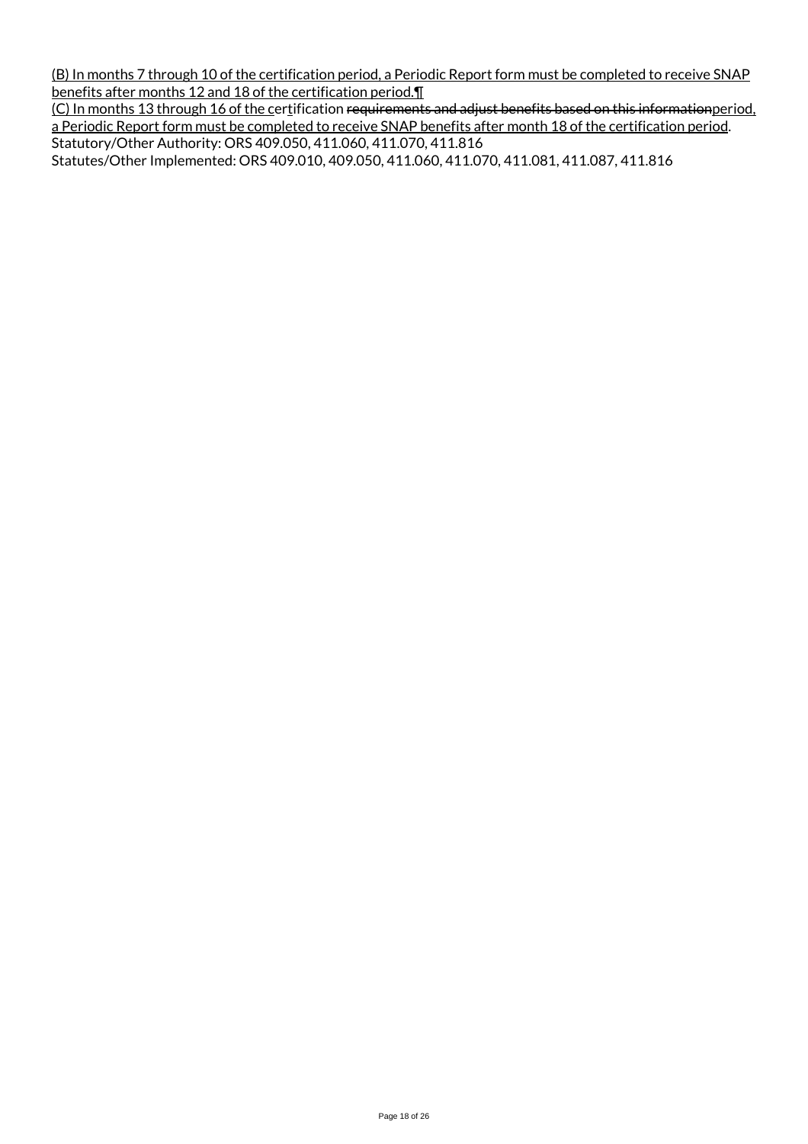(B) In months 7 through 10 of the certification period, a Periodic Report form must be completed to receive SNAP benefits after months 12 and 18 of the certification period.¶

(C) In months 13 through 16 of the certification requirements and adjust benefits based on this informationperiod, a Periodic Report form must be completed to receive SNAP benefits after month 18 of the certification period. Statutory/Other Authority: ORS 409.050, 411.060, 411.070, 411.816

Statutes/Other Implemented: ORS 409.010, 409.050, 411.060, 411.070, 411.081, 411.087, 411.816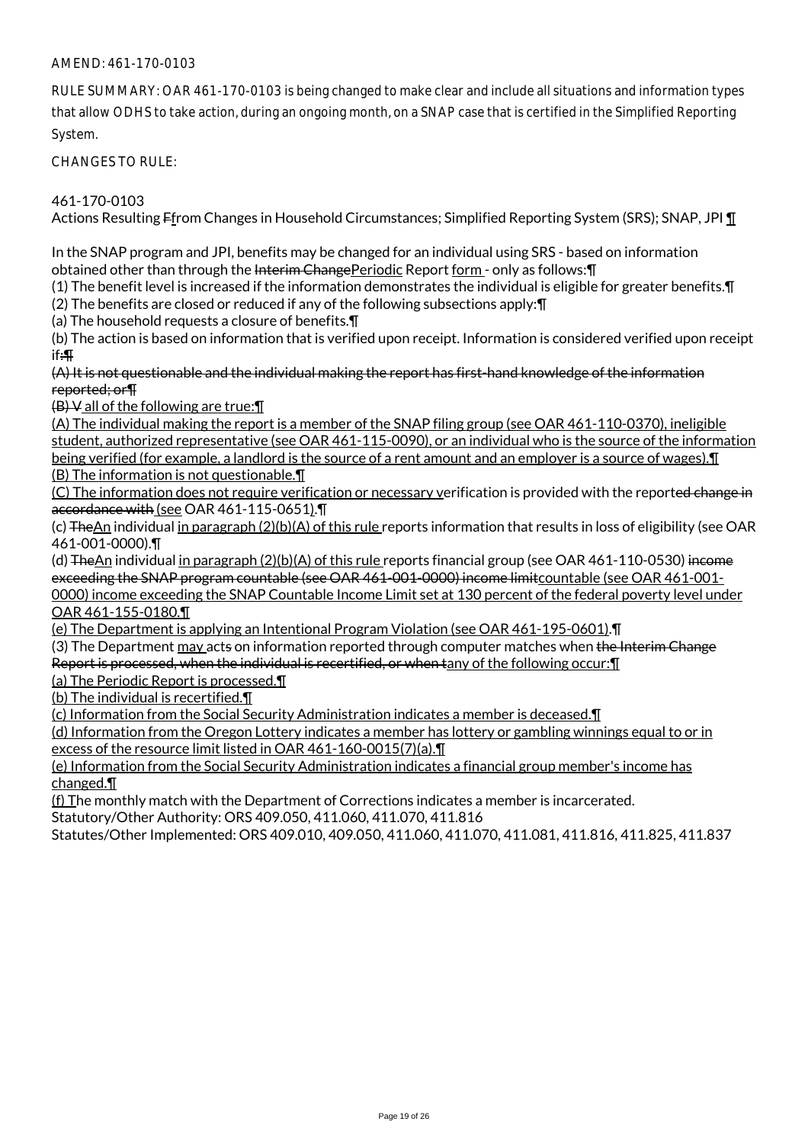RULE SUMMARY: OAR 461-170-0103 is being changed to make clear and include all situations and information types that allow ODHS to take action, during an ongoing month, on a SNAP case that is certified in the Simplified Reporting System.

CHANGES TO RULE:

### 461-170-0103

Actions Resulting Ffrom Changes in Household Circumstances; Simplified Reporting System (SRS); SNAP, JPI ¶

In the SNAP program and JPI, benefits may be changed for an individual using SRS - based on information obtained other than through the Interim ChangePeriodic Report form - only as follows: [1]

(1) The benefit level is increased if the information demonstrates the individual is eligible for greater benefits.¶

(2) The benefits are closed or reduced if any of the following subsections apply:¶

(a) The household requests a closure of benefits.¶

(b) The action is based on information that is verified upon receipt. Information is considered verified upon receipt if:¶

(A) It is not questionable and the individual making the report has first-hand knowledge of the information reported; or¶

(B) V all of the following are true:¶

(A) The individual making the report is a member of the SNAP filing group (see OAR 461-110-0370), ineligible student, authorized representative (see OAR 461-115-0090), or an individual who is the source of the information being verified (for example, a landlord is the source of a rent amount and an employer is a source of wages).¶ (B) The information is not questionable.¶

(C) The information does not require verification or necessary verification is provided with the reported change in accordance with (see OAR 461-115-0651).¶

(c) TheAn individual in paragraph (2)(b)(A) of this rule reports information that results in loss of eligibility (see OAR 461-001-0000).¶

(d) TheAn individual in paragraph (2)(b)(A) of this rule reports financial group (see OAR 461-110-0530) income exceeding the SNAP program countable (see OAR 461-001-0000) income limitcountable (see OAR 461-001- 0000) income exceeding the SNAP Countable Income Limit set at 130 percent of the federal poverty level under OAR 461-155-0180.¶

(e) The Department is applying an Intentional Program Violation (see OAR 461-195-0601).¶

(3) The Department may acts on information reported through computer matches when the Interim Change

Report is processed, when the individual is recertified, or when tany of the following occur:¶

(a) The Periodic Report is processed.¶

(b) The individual is recertified.¶

(c) Information from the Social Security Administration indicates a member is deceased.¶

(d) Information from the Oregon Lottery indicates a member has lottery or gambling winnings equal to or in excess of the resource limit listed in OAR 461-160-0015(7)(a).¶

(e) Information from the Social Security Administration indicates a financial group member's income has changed.¶

(f) The monthly match with the Department of Corrections indicates a member is incarcerated.

Statutory/Other Authority: ORS 409.050, 411.060, 411.070, 411.816

Statutes/Other Implemented: ORS 409.010, 409.050, 411.060, 411.070, 411.081, 411.816, 411.825, 411.837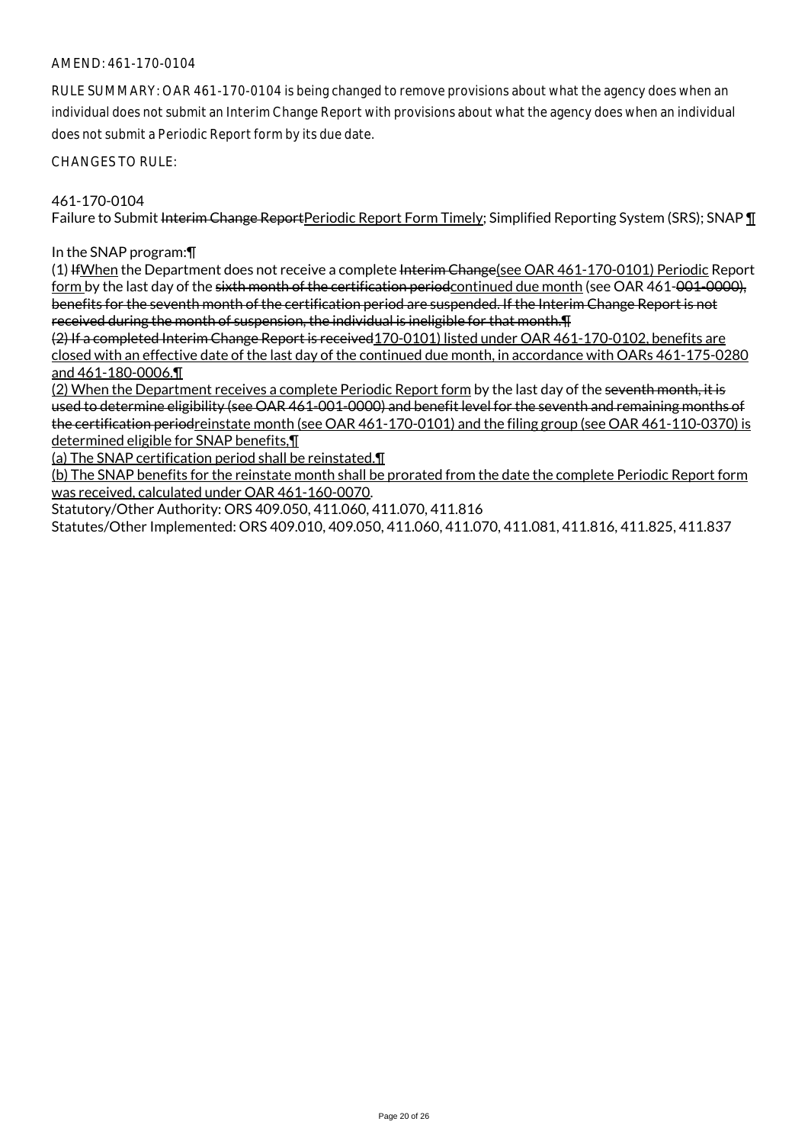RULE SUMMARY: OAR 461-170-0104 is being changed to remove provisions about what the agency does when an individual does not submit an Interim Change Report with provisions about what the agency does when an individual does not submit a Periodic Report form by its due date.

CHANGES TO RULE:

#### 461-170-0104

Failure to Submit Interim Change ReportPeriodic Report Form Timely; Simplified Reporting System (SRS); SNAP ¶

#### In the SNAP program:¶

(1) If When the Department does not receive a complete Interim Change (see OAR 461-170-0101) Periodic Report form by the last day of the sixth month of the certification periodcontinued due month (see OAR 461-001-0000), benefits for the seventh month of the certification period are suspended. If the Interim Change Report is not received during the month of suspension, the individual is ineligible for that month.¶

(2) If a completed Interim Change Report is received170-0101) listed under OAR 461-170-0102, benefits are closed with an effective date of the last day of the continued due month, in accordance with OARs 461-175-0280 and 461-180-0006.¶

(2) When the Department receives a complete Periodic Report form by the last day of the seventh month, it is used to determine eligibility (see OAR 461-001-0000) and benefit level for the seventh and remaining months of the certification periodreinstate month (see OAR 461-170-0101) and the filing group (see OAR 461-110-0370) is determined eligible for SNAP benefits,¶

(a) The SNAP certification period shall be reinstated.¶

(b) The SNAP benefits for the reinstate month shall be prorated from the date the complete Periodic Report form was received, calculated under OAR 461-160-0070.

Statutory/Other Authority: ORS 409.050, 411.060, 411.070, 411.816

Statutes/Other Implemented: ORS 409.010, 409.050, 411.060, 411.070, 411.081, 411.816, 411.825, 411.837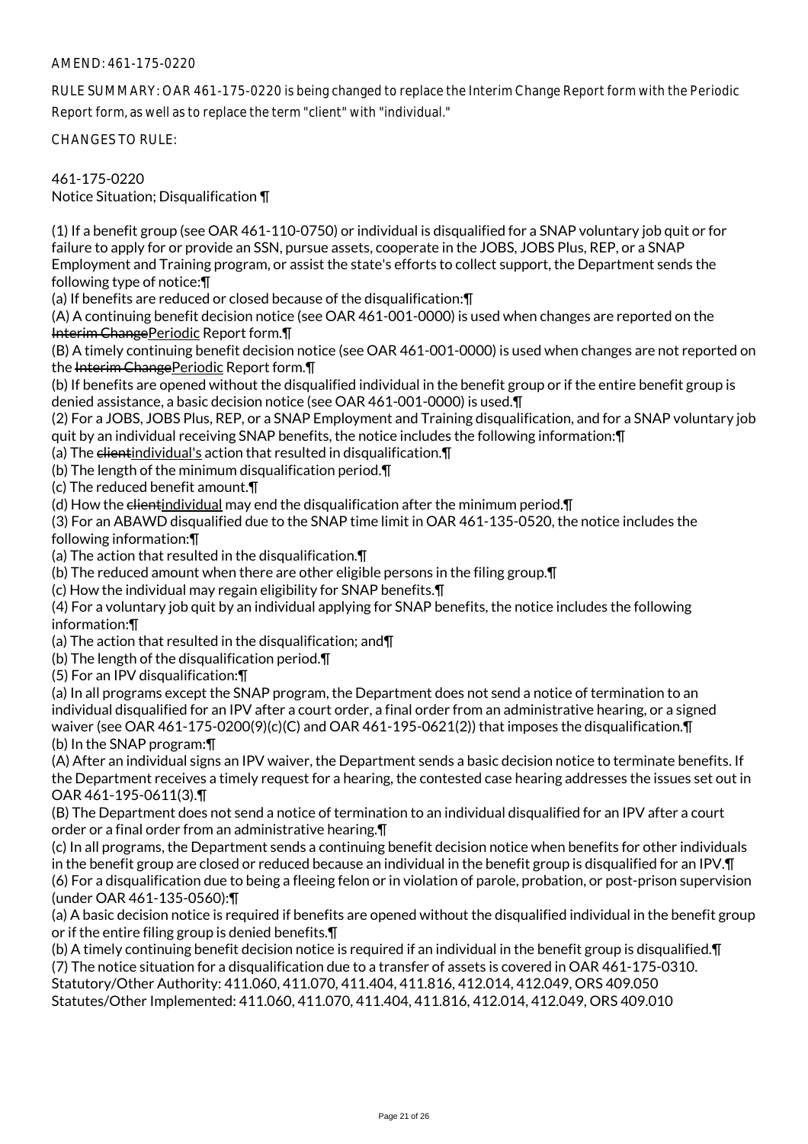RULE SUMMARY: OAR 461-175-0220 is being changed to replace the Interim Change Report form with the Periodic Report form, as well as to replace the term "client" with "individual."

CHANGES TO RULE:

461-175-0220

Notice Situation; Disqualification ¶

(1) If a benefit group (see OAR 461-110-0750) or individual is disqualified for a SNAP voluntary job quit or for failure to apply for or provide an SSN, pursue assets, cooperate in the JOBS, JOBS Plus, REP, or a SNAP Employment and Training program, or assist the state's efforts to collect support, the Department sends the following type of notice:¶

(a) If benefits are reduced or closed because of the disqualification:¶

(A) A continuing benefit decision notice (see OAR 461-001-0000) is used when changes are reported on the Interim Change Periodic Report form. |

(B) A timely continuing benefit decision notice (see OAR 461-001-0000) is used when changes are not reported on the Interim Change Periodic Report form.

(b) If benefits are opened without the disqualified individual in the benefit group or if the entire benefit group is denied assistance, a basic decision notice (see OAR 461-001-0000) is used.¶

(2) For a JOBS, JOBS Plus, REP, or a SNAP Employment and Training disqualification, and for a SNAP voluntary job quit by an individual receiving SNAP benefits, the notice includes the following information:¶

(a) The  $e$  dientindividual's action that resulted in disqualification.  $\P$ 

(b) The length of the minimum disqualification period.¶

(c) The reduced benefit amount.¶

(d) How the clientindividual may end the disqualification after the minimum period. T

(3) For an ABAWD disqualified due to the SNAP time limit in OAR 461-135-0520, the notice includes the following information:¶

(a) The action that resulted in the disqualification.¶

(b) The reduced amount when there are other eligible persons in the filing group.¶

(c) How the individual may regain eligibility for SNAP benefits.¶

(4) For a voluntary job quit by an individual applying for SNAP benefits, the notice includes the following information:¶

(a) The action that resulted in the disqualification; and¶

(b) The length of the disqualification period.¶

(5) For an IPV disqualification:¶

(a) In all programs except the SNAP program, the Department does not send a notice of termination to an individual disqualified for an IPV after a court order, a final order from an administrative hearing, or a signed waiver (see OAR 461-175-0200(9)(c)(C) and OAR 461-195-0621(2)) that imposes the disqualification.¶ (b) In the SNAP program:¶

(A) After an individual signs an IPV waiver, the Department sends a basic decision notice to terminate benefits. If the Department receives a timely request for a hearing, the contested case hearing addresses the issues set out in OAR 461-195-0611(3).¶

(B) The Department does not send a notice of termination to an individual disqualified for an IPV after a court order or a final order from an administrative hearing.¶

(c) In all programs, the Department sends a continuing benefit decision notice when benefits for other individuals in the benefit group are closed or reduced because an individual in the benefit group is disqualified for an IPV.¶ (6) For a disqualification due to being a fleeing felon or in violation of parole, probation, or post-prison supervision (under OAR 461-135-0560):¶

(a) A basic decision notice is required if benefits are opened without the disqualified individual in the benefit group or if the entire filing group is denied benefits.¶

(b) A timely continuing benefit decision notice is required if an individual in the benefit group is disqualified.¶

(7) The notice situation for a disqualification due to a transfer of assets is covered in OAR 461-175-0310.

Statutory/Other Authority: 411.060, 411.070, 411.404, 411.816, 412.014, 412.049, ORS 409.050 Statutes/Other Implemented: 411.060, 411.070, 411.404, 411.816, 412.014, 412.049, ORS 409.010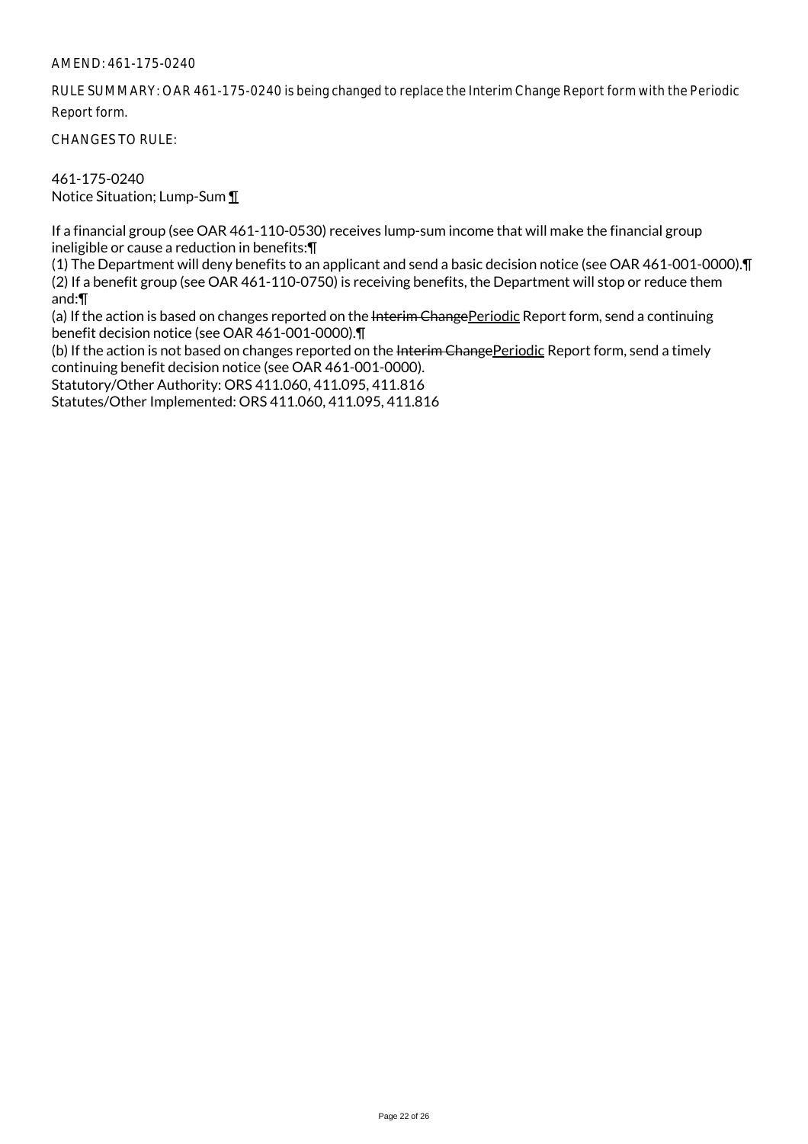RULE SUMMARY: OAR 461-175-0240 is being changed to replace the Interim Change Report form with the Periodic Report form.

CHANGES TO RULE:

461-175-0240 Notice Situation; Lump-Sum ¶

If a financial group (see OAR 461-110-0530) receives lump-sum income that will make the financial group ineligible or cause a reduction in benefits:¶

(1) The Department will deny benefits to an applicant and send a basic decision notice (see OAR 461-001-0000).¶ (2) If a benefit group (see OAR 461-110-0750) is receiving benefits, the Department will stop or reduce them and:¶

(a) If the action is based on changes reported on the Interim ChangePeriodic Report form, send a continuing benefit decision notice (see OAR 461-001-0000).¶

(b) If the action is not based on changes reported on the Interim ChangePeriodic Report form, send a timely continuing benefit decision notice (see OAR 461-001-0000).

Statutory/Other Authority: ORS 411.060, 411.095, 411.816

Statutes/Other Implemented: ORS 411.060, 411.095, 411.816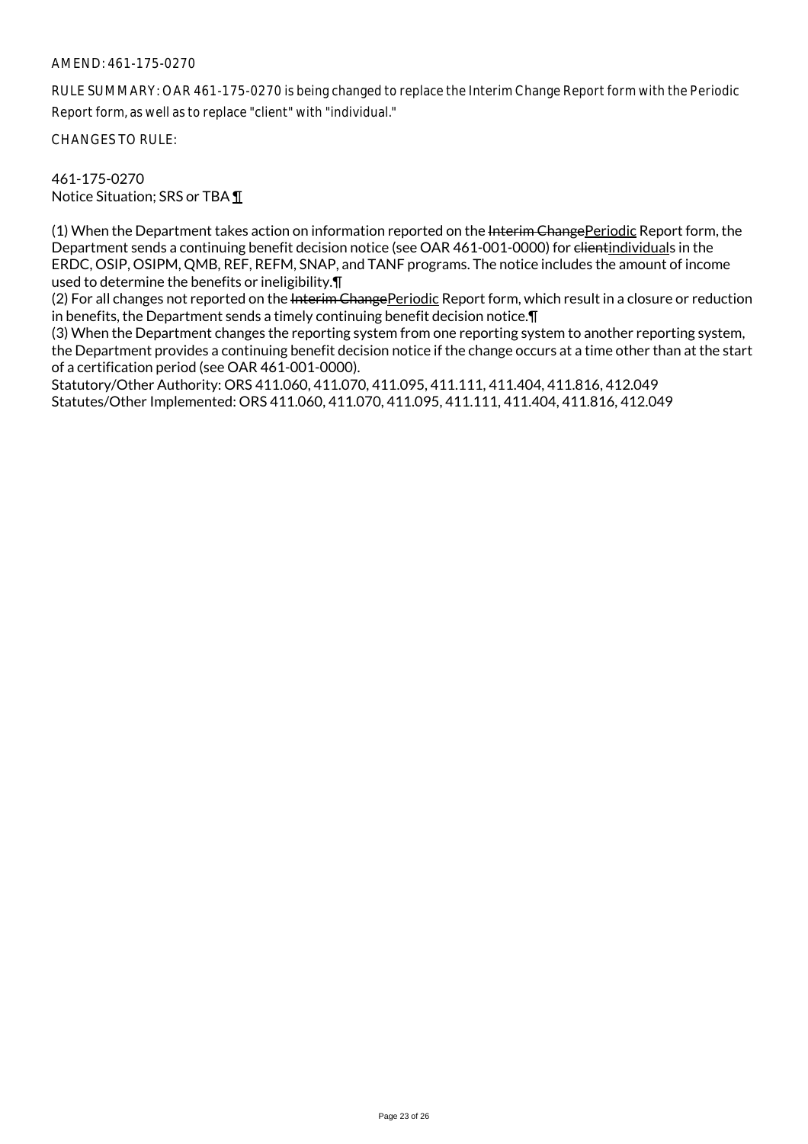RULE SUMMARY: OAR 461-175-0270 is being changed to replace the Interim Change Report form with the Periodic Report form, as well as to replace "client" with "individual."

CHANGES TO RULE:

461-175-0270 Notice Situation; SRS or TBA ¶

(1) When the Department takes action on information reported on the Interim Change Periodic Report form, the Department sends a continuing benefit decision notice (see OAR 461-001-0000) for elientindividuals in the ERDC, OSIP, OSIPM, QMB, REF, REFM, SNAP, and TANF programs. The notice includes the amount of income used to determine the benefits or ineligibility.¶

(2) For all changes not reported on the Interim Change Periodic Report form, which result in a closure or reduction in benefits, the Department sends a timely continuing benefit decision notice.¶

(3) When the Department changes the reporting system from one reporting system to another reporting system, the Department provides a continuing benefit decision notice if the change occurs at a time other than at the start of a certification period (see OAR 461-001-0000).

Statutory/Other Authority: ORS 411.060, 411.070, 411.095, 411.111, 411.404, 411.816, 412.049 Statutes/Other Implemented: ORS 411.060, 411.070, 411.095, 411.111, 411.404, 411.816, 412.049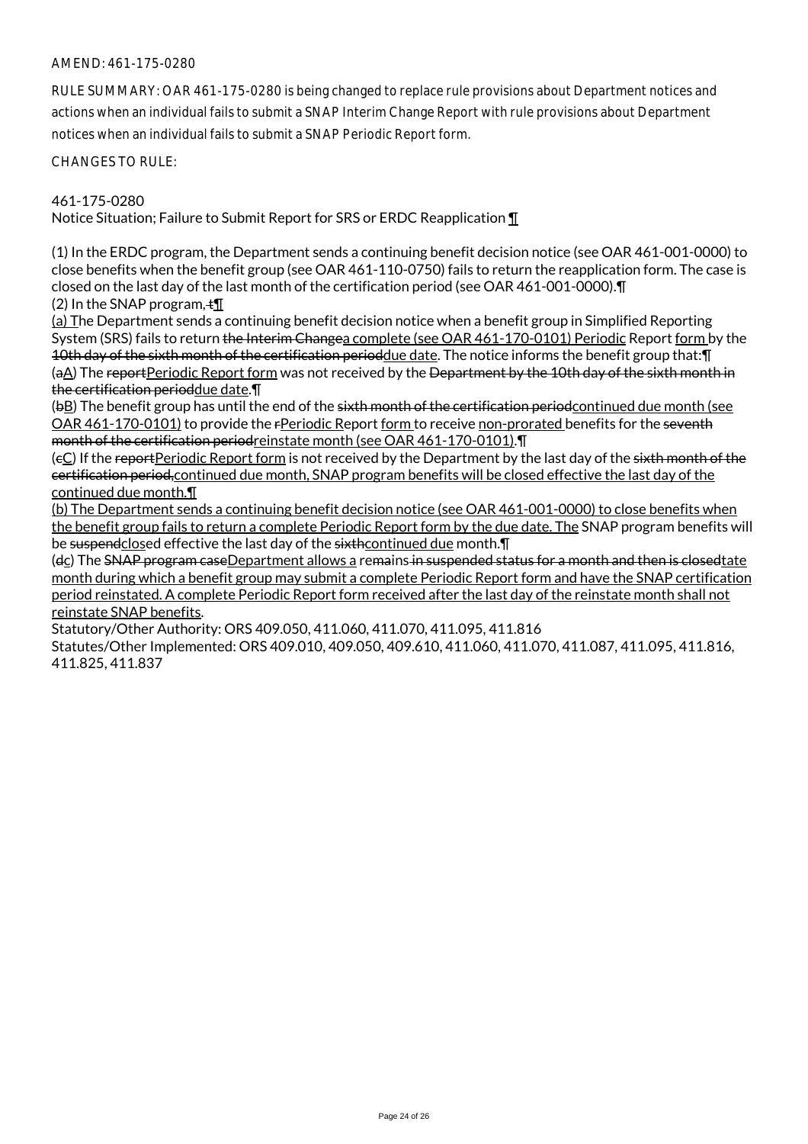RULE SUMMARY: OAR 461-175-0280 is being changed to replace rule provisions about Department notices and actions when an individual fails to submit a SNAP Interim Change Report with rule provisions about Department notices when an individual fails to submit a SNAP Periodic Report form.

CHANGES TO RULE:

#### 461-175-0280

Notice Situation; Failure to Submit Report for SRS or ERDC Reapplication ¶

(1) In the ERDC program, the Department sends a continuing benefit decision notice (see OAR 461-001-0000) to close benefits when the benefit group (see OAR 461-110-0750) fails to return the reapplication form. The case is closed on the last day of the last month of the certification period (see OAR 461-001-0000).¶ (2) In the SNAP program,  $\pm \mathbb{I}$ 

(a) The Department sends a continuing benefit decision notice when a benefit group in Simplified Reporting System (SRS) fails to return the Interim Changea complete (see OAR 461-170-0101) Periodic Report form by the 10th day of the sixth month of the certification perioddue date. The notice informs the benefit group that: [] (aA) The reportPeriodic Report form was not received by the <del>Department by the 10th day of the sixth month in</del> the certification perioddue date.¶

(bB) The benefit group has until the end of the sixth month of the certification period continued due month (see OAR 461-170-0101) to provide the rPeriodic Report form to receive non-prorated benefits for the seventh month of the certification periodreinstate month (see OAR 461-170-0101).¶

(eC) If the reportPeriodic Report form is not received by the Department by the last day of the sixth month of the certification period,continued due month, SNAP program benefits will be closed effective the last day of the continued due month.¶

(b) The Department sends a continuing benefit decision notice (see OAR 461-001-0000) to close benefits when the benefit group fails to return a complete Periodic Report form by the due date. The SNAP program benefits will be suspendclosed effective the last day of the sixthcontinued due month. I

(dc) The SNAP program caseDepartment allows a remains in suspended status for a month and then is closedtate month during which a benefit group may submit a complete Periodic Report form and have the SNAP certification period reinstated. A complete Periodic Report form received after the last day of the reinstate month shall not reinstate SNAP benefits.

Statutory/Other Authority: ORS 409.050, 411.060, 411.070, 411.095, 411.816

Statutes/Other Implemented: ORS 409.010, 409.050, 409.610, 411.060, 411.070, 411.087, 411.095, 411.816, 411.825, 411.837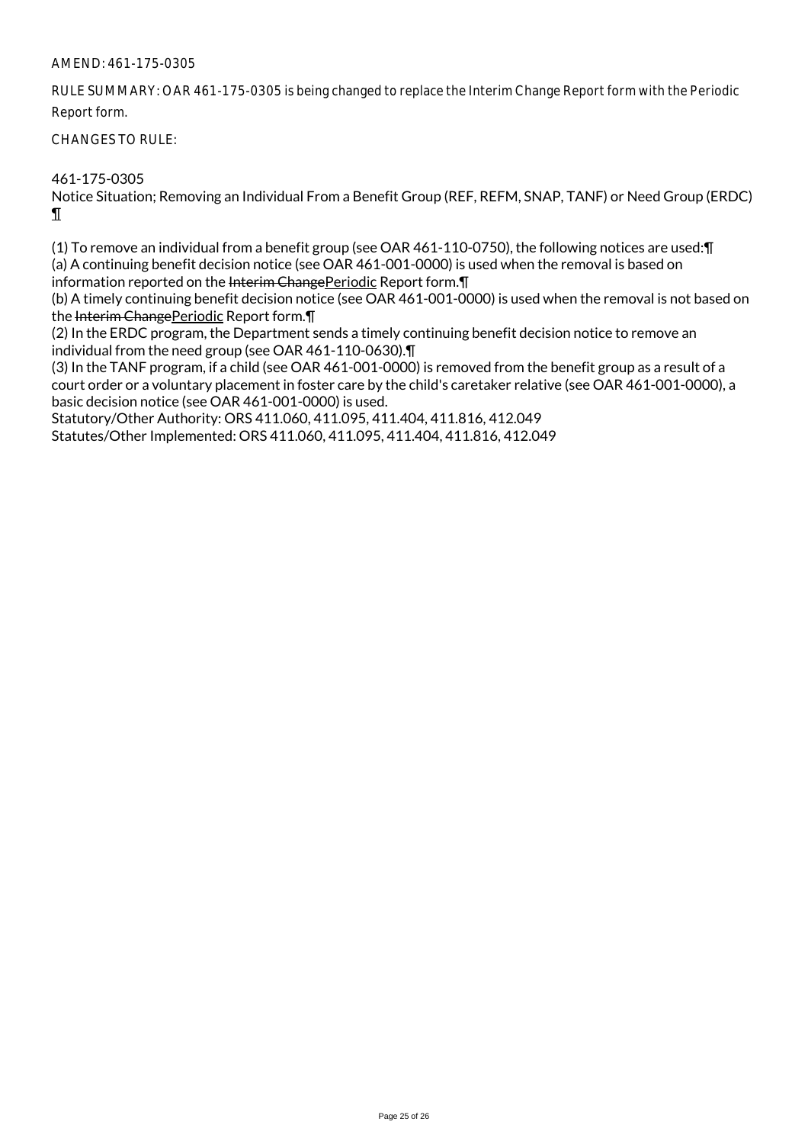RULE SUMMARY: OAR 461-175-0305 is being changed to replace the Interim Change Report form with the Periodic Report form.

### CHANGES TO RULE:

461-175-0305

Notice Situation; Removing an Individual From a Benefit Group (REF, REFM, SNAP, TANF) or Need Group (ERDC) ¶

(1) To remove an individual from a benefit group (see OAR 461-110-0750), the following notices are used:¶ (a) A continuing benefit decision notice (see OAR 461-001-0000) is used when the removal is based on information reported on the Interim ChangePeriodic Report form. II

(b) A timely continuing benefit decision notice (see OAR 461-001-0000) is used when the removal is not based on the Interim Change Periodic Report form. T

(2) In the ERDC program, the Department sends a timely continuing benefit decision notice to remove an individual from the need group (see OAR 461-110-0630).¶

(3) In the TANF program, if a child (see OAR 461-001-0000) is removed from the benefit group as a result of a court order or a voluntary placement in foster care by the child's caretaker relative (see OAR 461-001-0000), a basic decision notice (see OAR 461-001-0000) is used.

Statutory/Other Authority: ORS 411.060, 411.095, 411.404, 411.816, 412.049

Statutes/Other Implemented: ORS 411.060, 411.095, 411.404, 411.816, 412.049